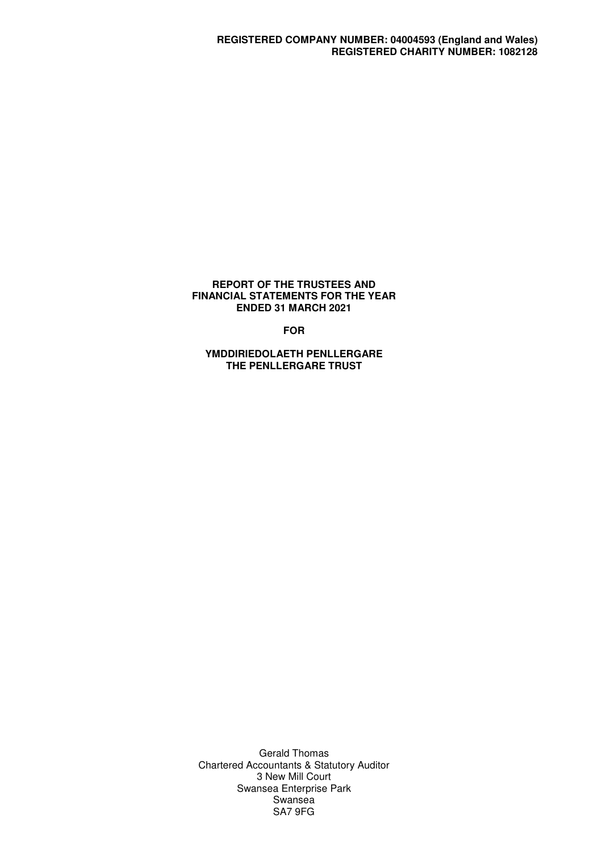#### **REPORT OF THE TRUSTEES AND FINANCIAL STATEMENTS FOR THE YEAR ENDED 31 MARCH 2021**

**FOR** 

**YMDDIRIEDOLAETH PENLLERGARE THE PENLLERGARE TRUST** 

Gerald Thomas Chartered Accountants & Statutory Auditor 3 New Mill Court Swansea Enterprise Park **Swansea** SA7 9FG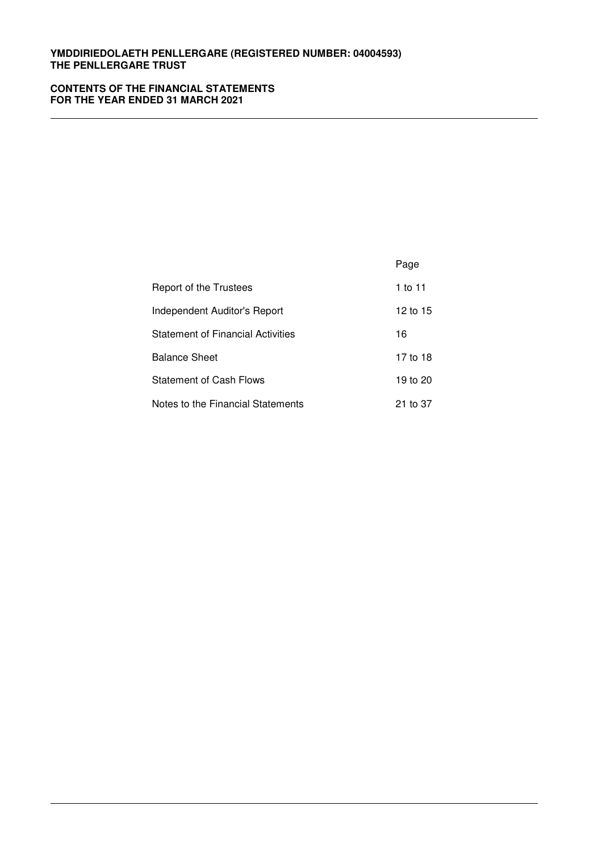# **CONTENTS OF THE FINANCIAL STATEMENTS FOR THE YEAR ENDED 31 MARCH 2021**

|                                          | Page     |
|------------------------------------------|----------|
| Report of the Trustees                   | 1 to 11  |
| Independent Auditor's Report             | 12 to 15 |
| <b>Statement of Financial Activities</b> | 16       |
| <b>Balance Sheet</b>                     | 17 to 18 |
| <b>Statement of Cash Flows</b>           | 19 to 20 |
| Notes to the Financial Statements        | 21 to 37 |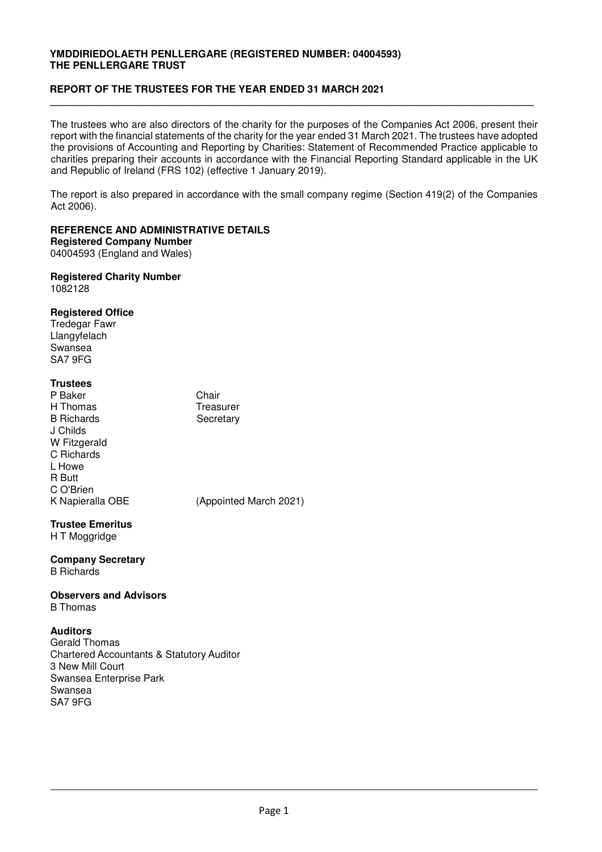# **REPORT OF THE TRUSTEES FOR THE YEAR ENDED 31 MARCH 2021**

The trustees who are also directors of the charity for the purposes of the Companies Act 2006, present their report with the financial statements of the charity for the year ended 31 March 2021. The trustees have adopted the provisions of Accounting and Reporting by Charities: Statement of Recommended Practice applicable to charities preparing their accounts in accordance with the Financial Reporting Standard applicable in the UK and Republic of Ireland (FRS 102) (effective 1 January 2019).

**\_\_\_\_\_\_\_\_\_\_\_\_\_\_\_\_\_\_\_\_\_\_\_\_\_\_\_\_\_\_\_\_\_\_\_\_\_\_\_\_\_\_\_\_\_\_\_\_\_\_\_\_\_\_\_\_\_\_\_\_\_\_\_\_\_\_\_\_\_\_\_\_\_\_\_\_\_\_\_\_\_\_\_\_\_\_** 

The report is also prepared in accordance with the small company regime (Section 419(2) of the Companies Act 2006).

#### **REFERENCE AND ADMINISTRATIVE DETAILS Registered Company Number**

04004593 (England and Wales)

#### **Registered Charity Number**  1082128

# **Registered Office**

Tredegar Fawr Llangyfelach Swansea SA7 9FG

# **Trustees**

P Baker Chair H Thomas Treasurer B Richards Secretary J Childs W Fitzgerald C Richards L Howe R Butt C O'Brien K Napieralla OBE (Appointed March 2021)

# **Trustee Emeritus**

H T Moggridge

#### **Company Secretary**  B Richards

# **Observers and Advisors**

B Thomas

# **Auditors**

Gerald Thomas Chartered Accountants & Statutory Auditor 3 New Mill Court Swansea Enterprise Park Swansea SA7 9FG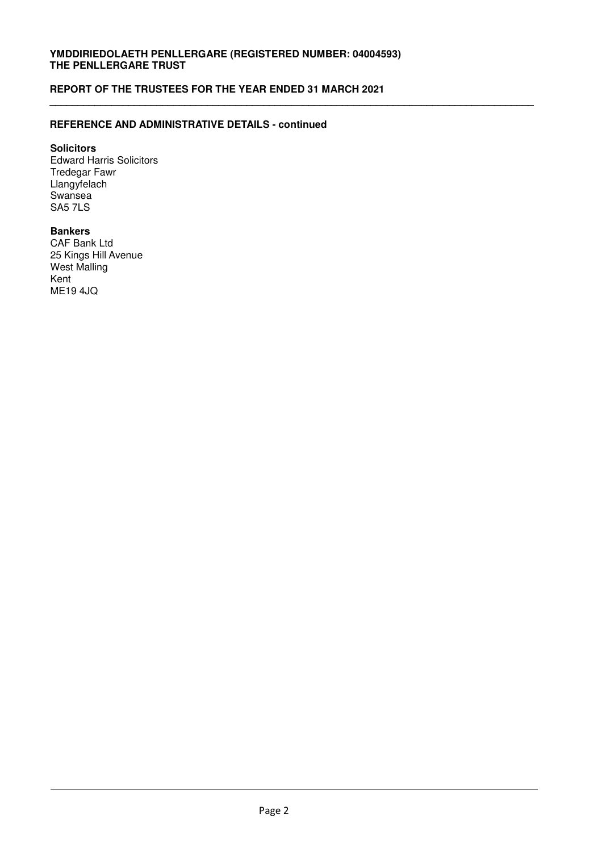**\_\_\_\_\_\_\_\_\_\_\_\_\_\_\_\_\_\_\_\_\_\_\_\_\_\_\_\_\_\_\_\_\_\_\_\_\_\_\_\_\_\_\_\_\_\_\_\_\_\_\_\_\_\_\_\_\_\_\_\_\_\_\_\_\_\_\_\_\_\_\_\_\_\_\_\_\_\_\_\_\_\_\_\_\_\_**

# **REPORT OF THE TRUSTEES FOR THE YEAR ENDED 31 MARCH 2021**

# **REFERENCE AND ADMINISTRATIVE DETAILS - continued**

# **Solicitors**

Edward Harris Solicitors Tredegar Fawr Llangyfelach **Swansea** SA5 7LS

# **Bankers**

CAF Bank Ltd 25 Kings Hill Avenue West Malling Kent ME19 4JQ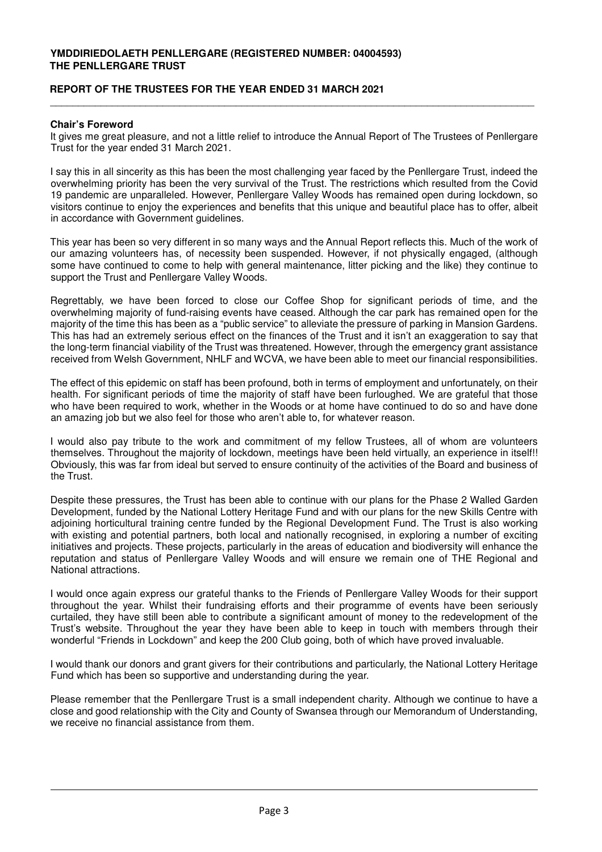# **REPORT OF THE TRUSTEES FOR THE YEAR ENDED 31 MARCH 2021**

### **Chair's Foreword**

It gives me great pleasure, and not a little relief to introduce the Annual Report of The Trustees of Penllergare Trust for the year ended 31 March 2021.

\_\_\_\_\_\_\_\_\_\_\_\_\_\_\_\_\_\_\_\_\_\_\_\_\_\_\_\_\_\_\_\_\_\_\_\_\_\_\_\_\_\_\_\_\_\_\_\_\_\_\_\_\_\_\_\_\_\_\_\_\_\_\_\_\_\_\_\_\_\_\_\_\_\_\_\_\_\_\_\_\_\_\_\_\_\_

I say this in all sincerity as this has been the most challenging year faced by the Penllergare Trust, indeed the overwhelming priority has been the very survival of the Trust. The restrictions which resulted from the Covid 19 pandemic are unparalleled. However, Penllergare Valley Woods has remained open during lockdown, so visitors continue to enjoy the experiences and benefits that this unique and beautiful place has to offer, albeit in accordance with Government guidelines.

This year has been so very different in so many ways and the Annual Report reflects this. Much of the work of our amazing volunteers has, of necessity been suspended. However, if not physically engaged, (although some have continued to come to help with general maintenance, litter picking and the like) they continue to support the Trust and Penllergare Valley Woods.

Regrettably, we have been forced to close our Coffee Shop for significant periods of time, and the overwhelming majority of fund-raising events have ceased. Although the car park has remained open for the majority of the time this has been as a "public service" to alleviate the pressure of parking in Mansion Gardens. This has had an extremely serious effect on the finances of the Trust and it isn't an exaggeration to say that the long-term financial viability of the Trust was threatened. However, through the emergency grant assistance received from Welsh Government, NHLF and WCVA, we have been able to meet our financial responsibilities.

The effect of this epidemic on staff has been profound, both in terms of employment and unfortunately, on their health. For significant periods of time the majority of staff have been furloughed. We are grateful that those who have been required to work, whether in the Woods or at home have continued to do so and have done an amazing job but we also feel for those who aren't able to, for whatever reason.

I would also pay tribute to the work and commitment of my fellow Trustees, all of whom are volunteers themselves. Throughout the majority of lockdown, meetings have been held virtually, an experience in itself!! Obviously, this was far from ideal but served to ensure continuity of the activities of the Board and business of the Trust.

Despite these pressures, the Trust has been able to continue with our plans for the Phase 2 Walled Garden Development, funded by the National Lottery Heritage Fund and with our plans for the new Skills Centre with adjoining horticultural training centre funded by the Regional Development Fund. The Trust is also working with existing and potential partners, both local and nationally recognised, in exploring a number of exciting initiatives and projects. These projects, particularly in the areas of education and biodiversity will enhance the reputation and status of Penllergare Valley Woods and will ensure we remain one of THE Regional and National attractions.

I would once again express our grateful thanks to the Friends of Penllergare Valley Woods for their support throughout the year. Whilst their fundraising efforts and their programme of events have been seriously curtailed, they have still been able to contribute a significant amount of money to the redevelopment of the Trust's website. Throughout the year they have been able to keep in touch with members through their wonderful "Friends in Lockdown" and keep the 200 Club going, both of which have proved invaluable.

I would thank our donors and grant givers for their contributions and particularly, the National Lottery Heritage Fund which has been so supportive and understanding during the year.

Please remember that the Penllergare Trust is a small independent charity. Although we continue to have a close and good relationship with the City and County of Swansea through our Memorandum of Understanding, we receive no financial assistance from them.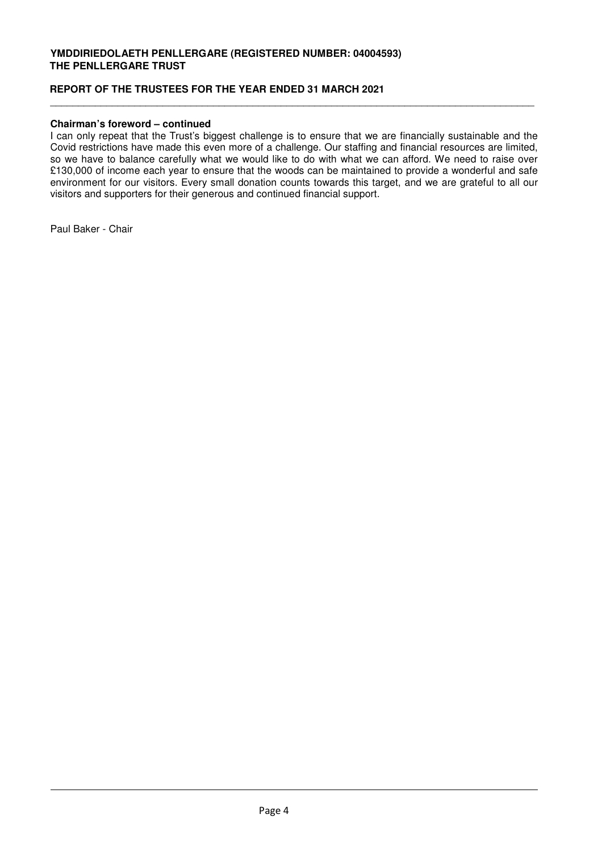# **REPORT OF THE TRUSTEES FOR THE YEAR ENDED 31 MARCH 2021**

# **Chairman's foreword – continued**

I can only repeat that the Trust's biggest challenge is to ensure that we are financially sustainable and the Covid restrictions have made this even more of a challenge. Our staffing and financial resources are limited, so we have to balance carefully what we would like to do with what we can afford. We need to raise over £130,000 of income each year to ensure that the woods can be maintained to provide a wonderful and safe environment for our visitors. Every small donation counts towards this target, and we are grateful to all our visitors and supporters for their generous and continued financial support.

\_\_\_\_\_\_\_\_\_\_\_\_\_\_\_\_\_\_\_\_\_\_\_\_\_\_\_\_\_\_\_\_\_\_\_\_\_\_\_\_\_\_\_\_\_\_\_\_\_\_\_\_\_\_\_\_\_\_\_\_\_\_\_\_\_\_\_\_\_\_\_\_\_\_\_\_\_\_\_\_\_\_\_\_\_\_

Paul Baker - Chair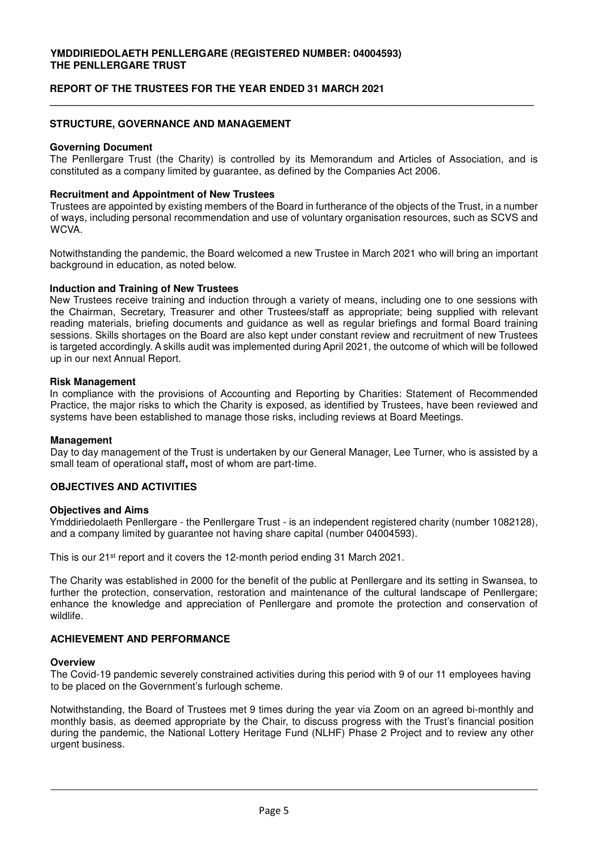# **REPORT OF THE TRUSTEES FOR THE YEAR ENDED 31 MARCH 2021**

### **STRUCTURE, GOVERNANCE AND MANAGEMENT**

#### **Governing Document**

The Penllergare Trust (the Charity) is controlled by its Memorandum and Articles of Association, and is constituted as a company limited by guarantee, as defined by the Companies Act 2006.

**\_\_\_\_\_\_\_\_\_\_\_\_\_\_\_\_\_\_\_\_\_\_\_\_\_\_\_\_\_\_\_\_\_\_\_\_\_\_\_\_\_\_\_\_\_\_\_\_\_\_\_\_\_\_\_\_\_\_\_\_\_\_\_\_\_\_\_\_\_\_\_\_\_\_\_\_\_\_\_\_\_\_\_\_\_\_** 

#### **Recruitment and Appointment of New Trustees**

Trustees are appointed by existing members of the Board in furtherance of the objects of the Trust, in a number of ways, including personal recommendation and use of voluntary organisation resources, such as SCVS and WCVA.

Notwithstanding the pandemic, the Board welcomed a new Trustee in March 2021 who will bring an important background in education, as noted below.

#### **Induction and Training of New Trustees**

New Trustees receive training and induction through a variety of means, including one to one sessions with the Chairman, Secretary, Treasurer and other Trustees/staff as appropriate; being supplied with relevant reading materials, briefing documents and guidance as well as regular briefings and formal Board training sessions. Skills shortages on the Board are also kept under constant review and recruitment of new Trustees is targeted accordingly. A skills audit was implemented during April 2021, the outcome of which will be followed up in our next Annual Report.

#### **Risk Management**

In compliance with the provisions of Accounting and Reporting by Charities: Statement of Recommended Practice, the major risks to which the Charity is exposed, as identified by Trustees, have been reviewed and systems have been established to manage those risks, including reviews at Board Meetings.

#### **Management**

Day to day management of the Trust is undertaken by our General Manager, Lee Turner, who is assisted by a small team of operational staff**,** most of whom are part-time.

# **OBJECTIVES AND ACTIVITIES**

#### **Objectives and Aims**

Ymddiriedolaeth Penllergare - the Penllergare Trust - is an independent registered charity (number 1082128), and a company limited by guarantee not having share capital (number 04004593).

This is our 21<sup>st</sup> report and it covers the 12-month period ending 31 March 2021.

The Charity was established in 2000 for the benefit of the public at Penllergare and its setting in Swansea, to further the protection, conservation, restoration and maintenance of the cultural landscape of Penllergare; enhance the knowledge and appreciation of Penllergare and promote the protection and conservation of wildlife.

## **ACHIEVEMENT AND PERFORMANCE**

#### **Overview**

The Covid-19 pandemic severely constrained activities during this period with 9 of our 11 employees having to be placed on the Government's furlough scheme.

Notwithstanding, the Board of Trustees met 9 times during the year via Zoom on an agreed bi-monthly and monthly basis, as deemed appropriate by the Chair, to discuss progress with the Trust's financial position during the pandemic, the National Lottery Heritage Fund (NLHF) Phase 2 Project and to review any other urgent business.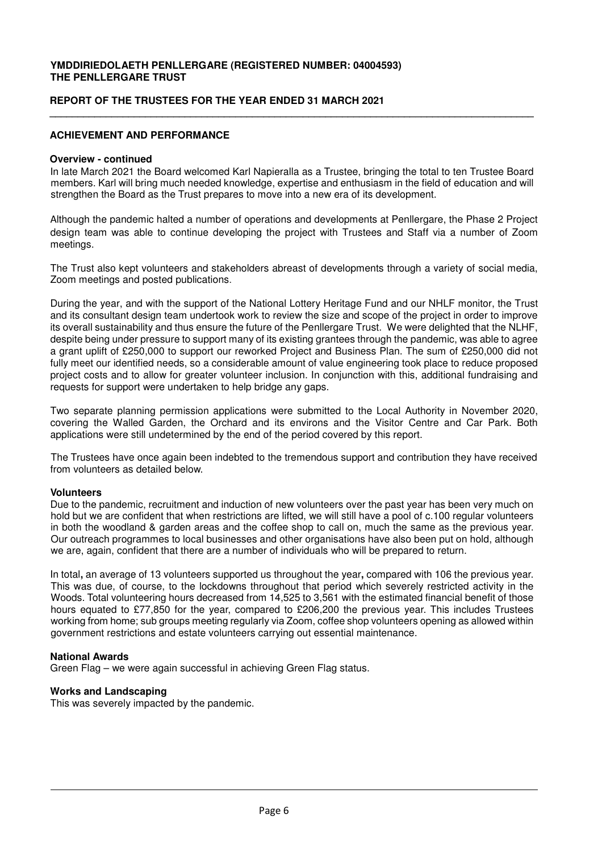# **REPORT OF THE TRUSTEES FOR THE YEAR ENDED 31 MARCH 2021**

#### **ACHIEVEMENT AND PERFORMANCE**

#### **Overview - continued**

In late March 2021 the Board welcomed Karl Napieralla as a Trustee, bringing the total to ten Trustee Board members. Karl will bring much needed knowledge, expertise and enthusiasm in the field of education and will strengthen the Board as the Trust prepares to move into a new era of its development.

**\_\_\_\_\_\_\_\_\_\_\_\_\_\_\_\_\_\_\_\_\_\_\_\_\_\_\_\_\_\_\_\_\_\_\_\_\_\_\_\_\_\_\_\_\_\_\_\_\_\_\_\_\_\_\_\_\_\_\_\_\_\_\_\_\_\_\_\_\_\_\_\_\_\_\_\_\_\_\_\_\_\_\_\_\_\_** 

Although the pandemic halted a number of operations and developments at Penllergare, the Phase 2 Project design team was able to continue developing the project with Trustees and Staff via a number of Zoom meetings.

The Trust also kept volunteers and stakeholders abreast of developments through a variety of social media, Zoom meetings and posted publications.

During the year, and with the support of the National Lottery Heritage Fund and our NHLF monitor, the Trust and its consultant design team undertook work to review the size and scope of the project in order to improve its overall sustainability and thus ensure the future of the Penllergare Trust. We were delighted that the NLHF, despite being under pressure to support many of its existing grantees through the pandemic, was able to agree a grant uplift of £250,000 to support our reworked Project and Business Plan. The sum of £250,000 did not fully meet our identified needs, so a considerable amount of value engineering took place to reduce proposed project costs and to allow for greater volunteer inclusion. In conjunction with this, additional fundraising and requests for support were undertaken to help bridge any gaps.

Two separate planning permission applications were submitted to the Local Authority in November 2020, covering the Walled Garden, the Orchard and its environs and the Visitor Centre and Car Park. Both applications were still undetermined by the end of the period covered by this report.

The Trustees have once again been indebted to the tremendous support and contribution they have received from volunteers as detailed below.

#### **Volunteers**

Due to the pandemic, recruitment and induction of new volunteers over the past year has been very much on hold but we are confident that when restrictions are lifted, we will still have a pool of c.100 regular volunteers in both the woodland & garden areas and the coffee shop to call on, much the same as the previous year. Our outreach programmes to local businesses and other organisations have also been put on hold, although we are, again, confident that there are a number of individuals who will be prepared to return.

In total**,** an average of 13 volunteers supported us throughout the year**,** compared with 106 the previous year. This was due, of course, to the lockdowns throughout that period which severely restricted activity in the Woods. Total volunteering hours decreased from 14,525 to 3,561 with the estimated financial benefit of those hours equated to £77,850 for the year, compared to £206,200 the previous year. This includes Trustees working from home; sub groups meeting regularly via Zoom, coffee shop volunteers opening as allowed within government restrictions and estate volunteers carrying out essential maintenance.

#### **National Awards**

Green Flag – we were again successful in achieving Green Flag status.

#### **Works and Landscaping**

This was severely impacted by the pandemic.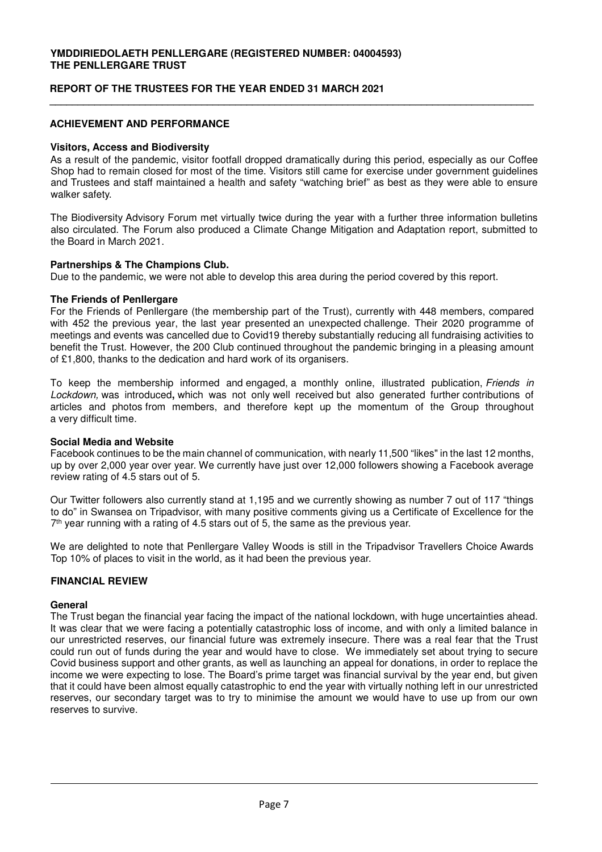# **REPORT OF THE TRUSTEES FOR THE YEAR ENDED 31 MARCH 2021**

# **ACHIEVEMENT AND PERFORMANCE**

#### **Visitors, Access and Biodiversity**

As a result of the pandemic, visitor footfall dropped dramatically during this period, especially as our Coffee Shop had to remain closed for most of the time. Visitors still came for exercise under government guidelines and Trustees and staff maintained a health and safety "watching brief" as best as they were able to ensure walker safety.

**\_\_\_\_\_\_\_\_\_\_\_\_\_\_\_\_\_\_\_\_\_\_\_\_\_\_\_\_\_\_\_\_\_\_\_\_\_\_\_\_\_\_\_\_\_\_\_\_\_\_\_\_\_\_\_\_\_\_\_\_\_\_\_\_\_\_\_\_\_\_\_\_\_\_\_\_\_\_\_\_\_\_\_\_\_\_** 

The Biodiversity Advisory Forum met virtually twice during the year with a further three information bulletins also circulated. The Forum also produced a Climate Change Mitigation and Adaptation report, submitted to the Board in March 2021.

### **Partnerships & The Champions Club.**

Due to the pandemic, we were not able to develop this area during the period covered by this report.

### **The Friends of Penllergare**

For the Friends of Penllergare (the membership part of the Trust), currently with 448 members, compared with 452 the previous year, the last year presented an unexpected challenge. Their 2020 programme of meetings and events was cancelled due to Covid19 thereby substantially reducing all fundraising activities to benefit the Trust. However, the 200 Club continued throughout the pandemic bringing in a pleasing amount of £1,800, thanks to the dedication and hard work of its organisers.

To keep the membership informed and engaged, a monthly online, illustrated publication, *Friends in* Lockdown, was introduced**,** which was not only well received but also generated further contributions of articles and photos from members, and therefore kept up the momentum of the Group throughout a very difficult time.

# **Social Media and Website**

Facebook continues to be the main channel of communication, with nearly 11,500 "likes" in the last 12 months, up by over 2,000 year over year. We currently have just over 12,000 followers showing a Facebook average review rating of 4.5 stars out of 5.

Our Twitter followers also currently stand at 1,195 and we currently showing as number 7 out of 117 "things to do" in Swansea on Tripadvisor, with many positive comments giving us a Certificate of Excellence for the 7 th year running with a rating of 4.5 stars out of 5, the same as the previous year.

We are delighted to note that Penllergare Valley Woods is still in the Tripadvisor Travellers Choice Awards Top 10% of places to visit in the world, as it had been the previous year.

# **FINANCIAL REVIEW**

#### **General**

The Trust began the financial year facing the impact of the national lockdown, with huge uncertainties ahead. It was clear that we were facing a potentially catastrophic loss of income, and with only a limited balance in our unrestricted reserves, our financial future was extremely insecure. There was a real fear that the Trust could run out of funds during the year and would have to close. We immediately set about trying to secure Covid business support and other grants, as well as launching an appeal for donations, in order to replace the income we were expecting to lose. The Board's prime target was financial survival by the year end, but given that it could have been almost equally catastrophic to end the year with virtually nothing left in our unrestricted reserves, our secondary target was to try to minimise the amount we would have to use up from our own reserves to survive.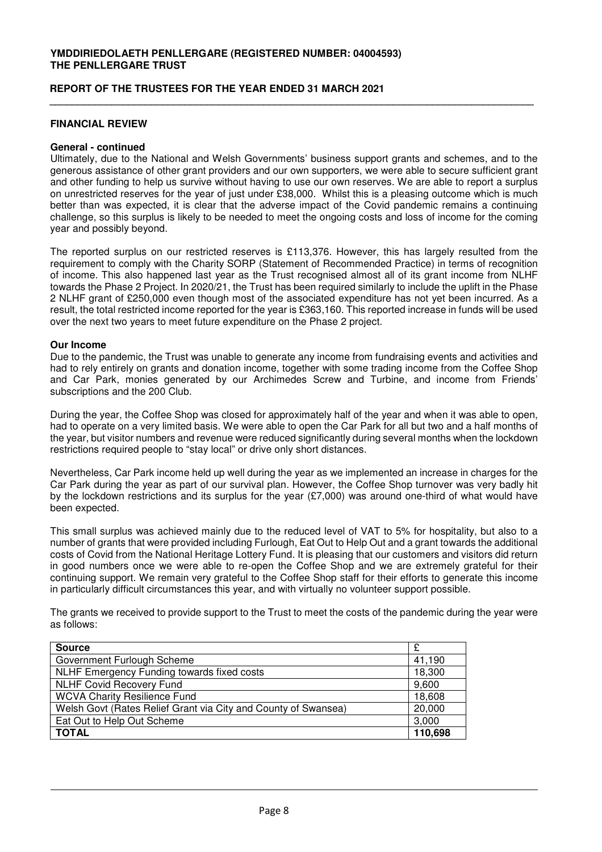#### **REPORT OF THE TRUSTEES FOR THE YEAR ENDED 31 MARCH 2021**

### **FINANCIAL REVIEW**

#### **General - continued**

Ultimately, due to the National and Welsh Governments' business support grants and schemes, and to the generous assistance of other grant providers and our own supporters, we were able to secure sufficient grant and other funding to help us survive without having to use our own reserves. We are able to report a surplus on unrestricted reserves for the year of just under £38,000. Whilst this is a pleasing outcome which is much better than was expected, it is clear that the adverse impact of the Covid pandemic remains a continuing challenge, so this surplus is likely to be needed to meet the ongoing costs and loss of income for the coming year and possibly beyond.

**\_\_\_\_\_\_\_\_\_\_\_\_\_\_\_\_\_\_\_\_\_\_\_\_\_\_\_\_\_\_\_\_\_\_\_\_\_\_\_\_\_\_\_\_\_\_\_\_\_\_\_\_\_\_\_\_\_\_\_\_\_\_\_\_\_\_\_\_\_\_\_\_\_\_\_\_\_\_\_\_\_\_\_\_\_\_** 

The reported surplus on our restricted reserves is £113,376. However, this has largely resulted from the requirement to comply with the Charity SORP (Statement of Recommended Practice) in terms of recognition of income. This also happened last year as the Trust recognised almost all of its grant income from NLHF towards the Phase 2 Project. In 2020/21, the Trust has been required similarly to include the uplift in the Phase 2 NLHF grant of £250,000 even though most of the associated expenditure has not yet been incurred. As a result, the total restricted income reported for the year is £363,160. This reported increase in funds will be used over the next two years to meet future expenditure on the Phase 2 project.

#### **Our Income**

Due to the pandemic, the Trust was unable to generate any income from fundraising events and activities and had to rely entirely on grants and donation income, together with some trading income from the Coffee Shop and Car Park, monies generated by our Archimedes Screw and Turbine, and income from Friends' subscriptions and the 200 Club.

During the year, the Coffee Shop was closed for approximately half of the year and when it was able to open, had to operate on a very limited basis. We were able to open the Car Park for all but two and a half months of the year, but visitor numbers and revenue were reduced significantly during several months when the lockdown restrictions required people to "stay local" or drive only short distances.

Nevertheless, Car Park income held up well during the year as we implemented an increase in charges for the Car Park during the year as part of our survival plan. However, the Coffee Shop turnover was very badly hit by the lockdown restrictions and its surplus for the year (£7,000) was around one-third of what would have been expected.

This small surplus was achieved mainly due to the reduced level of VAT to 5% for hospitality, but also to a number of grants that were provided including Furlough, Eat Out to Help Out and a grant towards the additional costs of Covid from the National Heritage Lottery Fund. It is pleasing that our customers and visitors did return in good numbers once we were able to re-open the Coffee Shop and we are extremely grateful for their continuing support. We remain very grateful to the Coffee Shop staff for their efforts to generate this income in particularly difficult circumstances this year, and with virtually no volunteer support possible.

The grants we received to provide support to the Trust to meet the costs of the pandemic during the year were as follows:

| <b>Source</b>                                                  | £       |
|----------------------------------------------------------------|---------|
| Government Furlough Scheme                                     | 41,190  |
| NLHF Emergency Funding towards fixed costs                     | 18,300  |
| <b>NLHF Covid Recovery Fund</b>                                | 9,600   |
| <b>WCVA Charity Resilience Fund</b>                            | 18,608  |
| Welsh Govt (Rates Relief Grant via City and County of Swansea) | 20,000  |
| Eat Out to Help Out Scheme                                     | 3,000   |
| <b>TOTAL</b>                                                   | 110,698 |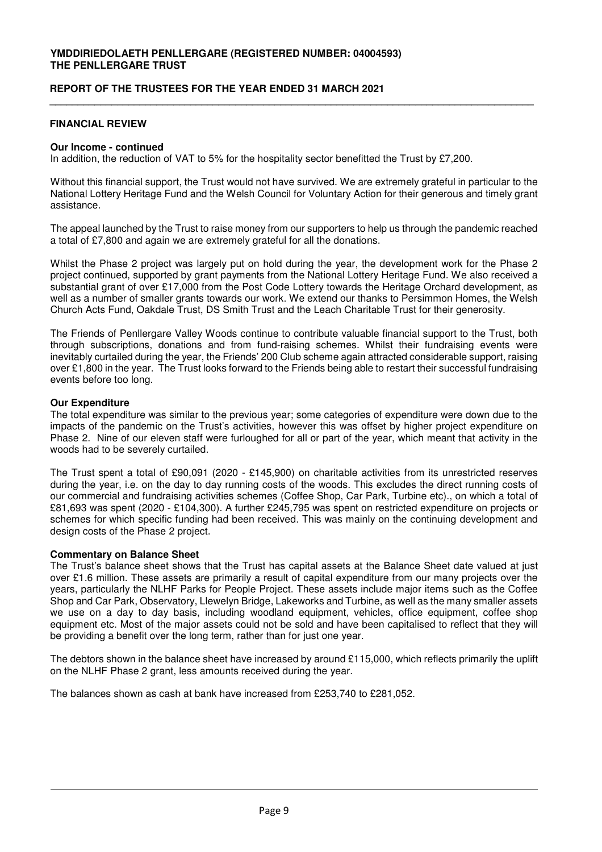#### **REPORT OF THE TRUSTEES FOR THE YEAR ENDED 31 MARCH 2021**

### **FINANCIAL REVIEW**

#### **Our Income - continued**

In addition, the reduction of VAT to 5% for the hospitality sector benefitted the Trust by £7,200.

Without this financial support, the Trust would not have survived. We are extremely grateful in particular to the National Lottery Heritage Fund and the Welsh Council for Voluntary Action for their generous and timely grant assistance.

**\_\_\_\_\_\_\_\_\_\_\_\_\_\_\_\_\_\_\_\_\_\_\_\_\_\_\_\_\_\_\_\_\_\_\_\_\_\_\_\_\_\_\_\_\_\_\_\_\_\_\_\_\_\_\_\_\_\_\_\_\_\_\_\_\_\_\_\_\_\_\_\_\_\_\_\_\_\_\_\_\_\_\_\_\_\_** 

The appeal launched by the Trust to raise money from our supporters to help us through the pandemic reached a total of £7,800 and again we are extremely grateful for all the donations.

Whilst the Phase 2 project was largely put on hold during the year, the development work for the Phase 2 project continued, supported by grant payments from the National Lottery Heritage Fund. We also received a substantial grant of over £17,000 from the Post Code Lottery towards the Heritage Orchard development, as well as a number of smaller grants towards our work. We extend our thanks to Persimmon Homes, the Welsh Church Acts Fund, Oakdale Trust, DS Smith Trust and the Leach Charitable Trust for their generosity.

The Friends of Penllergare Valley Woods continue to contribute valuable financial support to the Trust, both through subscriptions, donations and from fund-raising schemes. Whilst their fundraising events were inevitably curtailed during the year, the Friends' 200 Club scheme again attracted considerable support, raising over £1,800 in the year. The Trust looks forward to the Friends being able to restart their successful fundraising events before too long.

#### **Our Expenditure**

The total expenditure was similar to the previous year; some categories of expenditure were down due to the impacts of the pandemic on the Trust's activities, however this was offset by higher project expenditure on Phase 2. Nine of our eleven staff were furloughed for all or part of the year, which meant that activity in the woods had to be severely curtailed.

The Trust spent a total of £90,091 (2020 - £145,900) on charitable activities from its unrestricted reserves during the year, i.e. on the day to day running costs of the woods. This excludes the direct running costs of our commercial and fundraising activities schemes (Coffee Shop, Car Park, Turbine etc)., on which a total of £81,693 was spent (2020 - £104,300). A further £245,795 was spent on restricted expenditure on projects or schemes for which specific funding had been received. This was mainly on the continuing development and design costs of the Phase 2 project.

#### **Commentary on Balance Sheet**

The Trust's balance sheet shows that the Trust has capital assets at the Balance Sheet date valued at just over £1.6 million. These assets are primarily a result of capital expenditure from our many projects over the years, particularly the NLHF Parks for People Project. These assets include major items such as the Coffee Shop and Car Park, Observatory, Llewelyn Bridge, Lakeworks and Turbine, as well as the many smaller assets we use on a day to day basis, including woodland equipment, vehicles, office equipment, coffee shop equipment etc. Most of the major assets could not be sold and have been capitalised to reflect that they will be providing a benefit over the long term, rather than for just one year.

The debtors shown in the balance sheet have increased by around £115,000, which reflects primarily the uplift on the NLHF Phase 2 grant, less amounts received during the year.

The balances shown as cash at bank have increased from £253,740 to £281,052.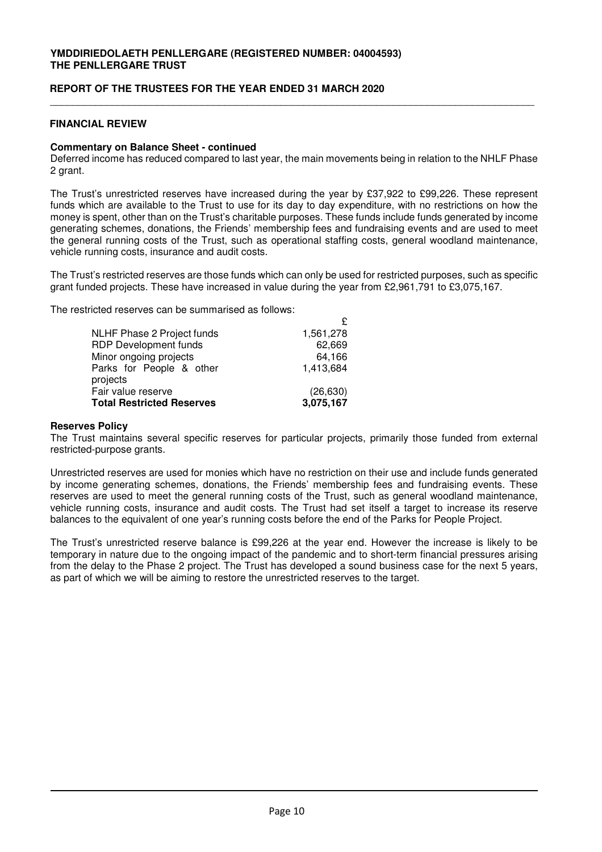### **REPORT OF THE TRUSTEES FOR THE YEAR ENDED 31 MARCH 2020**

### **FINANCIAL REVIEW**

#### **Commentary on Balance Sheet - continued**

Deferred income has reduced compared to last year, the main movements being in relation to the NHLF Phase 2 grant.

\_\_\_\_\_\_\_\_\_\_\_\_\_\_\_\_\_\_\_\_\_\_\_\_\_\_\_\_\_\_\_\_\_\_\_\_\_\_\_\_\_\_\_\_\_\_\_\_\_\_\_\_\_\_\_\_\_\_\_\_\_\_\_\_\_\_\_\_\_\_\_\_\_\_\_\_\_\_\_\_\_\_\_\_\_\_

The Trust's unrestricted reserves have increased during the year by £37,922 to £99,226. These represent funds which are available to the Trust to use for its day to day expenditure, with no restrictions on how the money is spent, other than on the Trust's charitable purposes. These funds include funds generated by income generating schemes, donations, the Friends' membership fees and fundraising events and are used to meet the general running costs of the Trust, such as operational staffing costs, general woodland maintenance, vehicle running costs, insurance and audit costs.

The Trust's restricted reserves are those funds which can only be used for restricted purposes, such as specific grant funded projects. These have increased in value during the year from £2,961,791 to £3,075,167.

 $\Delta$ 

The restricted reserves can be summarised as follows:

| NLHF Phase 2 Project funds       | 1,561,278 |
|----------------------------------|-----------|
| <b>RDP Development funds</b>     | 62,669    |
| Minor ongoing projects           | 64,166    |
| Parks for People & other         | 1,413,684 |
| projects                         |           |
| Fair value reserve               | (26, 630) |
| <b>Total Restricted Reserves</b> | 3,075,167 |
|                                  |           |

#### **Reserves Policy**

The Trust maintains several specific reserves for particular projects, primarily those funded from external restricted-purpose grants.

Unrestricted reserves are used for monies which have no restriction on their use and include funds generated by income generating schemes, donations, the Friends' membership fees and fundraising events. These reserves are used to meet the general running costs of the Trust, such as general woodland maintenance, vehicle running costs, insurance and audit costs. The Trust had set itself a target to increase its reserve balances to the equivalent of one year's running costs before the end of the Parks for People Project.

The Trust's unrestricted reserve balance is £99,226 at the year end. However the increase is likely to be temporary in nature due to the ongoing impact of the pandemic and to short-term financial pressures arising from the delay to the Phase 2 project. The Trust has developed a sound business case for the next 5 years, as part of which we will be aiming to restore the unrestricted reserves to the target.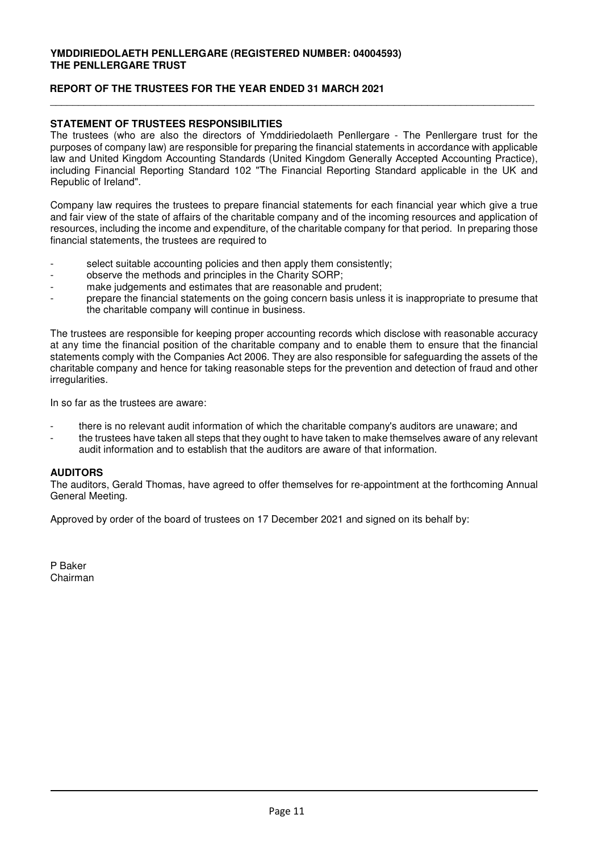# **REPORT OF THE TRUSTEES FOR THE YEAR ENDED 31 MARCH 2021**

# **STATEMENT OF TRUSTEES RESPONSIBILITIES**

The trustees (who are also the directors of Ymddiriedolaeth Penllergare - The Penllergare trust for the purposes of company law) are responsible for preparing the financial statements in accordance with applicable law and United Kingdom Accounting Standards (United Kingdom Generally Accepted Accounting Practice), including Financial Reporting Standard 102 "The Financial Reporting Standard applicable in the UK and Republic of Ireland".

\_\_\_\_\_\_\_\_\_\_\_\_\_\_\_\_\_\_\_\_\_\_\_\_\_\_\_\_\_\_\_\_\_\_\_\_\_\_\_\_\_\_\_\_\_\_\_\_\_\_\_\_\_\_\_\_\_\_\_\_\_\_\_\_\_\_\_\_\_\_\_\_\_\_\_\_\_\_\_\_\_\_\_\_\_\_

Company law requires the trustees to prepare financial statements for each financial year which give a true and fair view of the state of affairs of the charitable company and of the incoming resources and application of resources, including the income and expenditure, of the charitable company for that period. In preparing those financial statements, the trustees are required to

- select suitable accounting policies and then apply them consistently;
- observe the methods and principles in the Charity SORP;
- make judgements and estimates that are reasonable and prudent:
- prepare the financial statements on the going concern basis unless it is inappropriate to presume that the charitable company will continue in business.

The trustees are responsible for keeping proper accounting records which disclose with reasonable accuracy at any time the financial position of the charitable company and to enable them to ensure that the financial statements comply with the Companies Act 2006. They are also responsible for safeguarding the assets of the charitable company and hence for taking reasonable steps for the prevention and detection of fraud and other irregularities.

In so far as the trustees are aware:

- there is no relevant audit information of which the charitable company's auditors are unaware; and
- the trustees have taken all steps that they ought to have taken to make themselves aware of any relevant audit information and to establish that the auditors are aware of that information.

# **AUDITORS**

The auditors, Gerald Thomas, have agreed to offer themselves for re-appointment at the forthcoming Annual General Meeting.

Approved by order of the board of trustees on 17 December 2021 and signed on its behalf by:

P Baker Chairman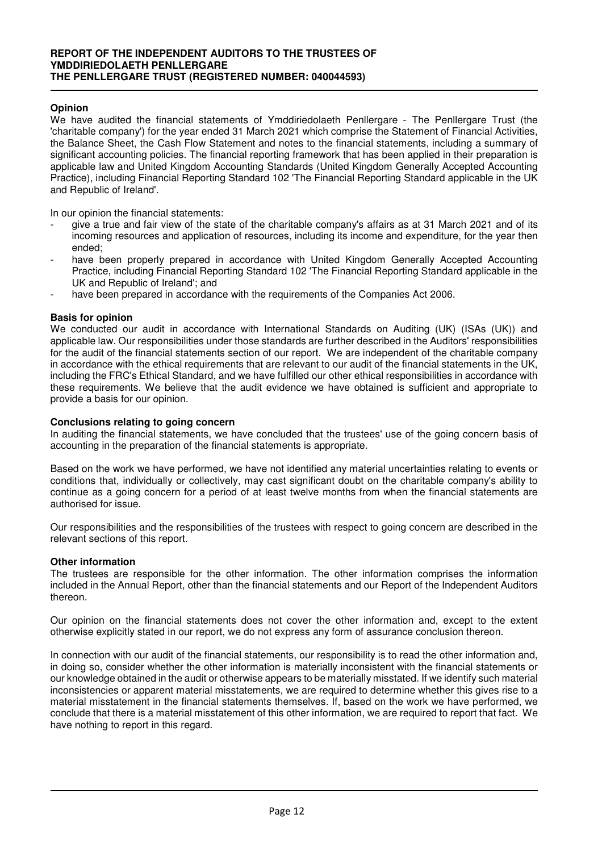# **Opinion**

We have audited the financial statements of Ymddiriedolaeth Penllergare - The Penllergare Trust (the 'charitable company') for the year ended 31 March 2021 which comprise the Statement of Financial Activities, the Balance Sheet, the Cash Flow Statement and notes to the financial statements, including a summary of significant accounting policies. The financial reporting framework that has been applied in their preparation is applicable law and United Kingdom Accounting Standards (United Kingdom Generally Accepted Accounting Practice), including Financial Reporting Standard 102 'The Financial Reporting Standard applicable in the UK and Republic of Ireland'.

In our opinion the financial statements:

- give a true and fair view of the state of the charitable company's affairs as at 31 March 2021 and of its incoming resources and application of resources, including its income and expenditure, for the year then ended;
- have been properly prepared in accordance with United Kingdom Generally Accepted Accounting Practice, including Financial Reporting Standard 102 'The Financial Reporting Standard applicable in the UK and Republic of Ireland'; and
- have been prepared in accordance with the requirements of the Companies Act 2006.

### **Basis for opinion**

We conducted our audit in accordance with International Standards on Auditing (UK) (ISAs (UK)) and applicable law. Our responsibilities under those standards are further described in the Auditors' responsibilities for the audit of the financial statements section of our report. We are independent of the charitable company in accordance with the ethical requirements that are relevant to our audit of the financial statements in the UK, including the FRC's Ethical Standard, and we have fulfilled our other ethical responsibilities in accordance with these requirements. We believe that the audit evidence we have obtained is sufficient and appropriate to provide a basis for our opinion.

#### **Conclusions relating to going concern**

In auditing the financial statements, we have concluded that the trustees' use of the going concern basis of accounting in the preparation of the financial statements is appropriate.

Based on the work we have performed, we have not identified any material uncertainties relating to events or conditions that, individually or collectively, may cast significant doubt on the charitable company's ability to continue as a going concern for a period of at least twelve months from when the financial statements are authorised for issue.

Our responsibilities and the responsibilities of the trustees with respect to going concern are described in the relevant sections of this report.

#### **Other information**

The trustees are responsible for the other information. The other information comprises the information included in the Annual Report, other than the financial statements and our Report of the Independent Auditors thereon.

Our opinion on the financial statements does not cover the other information and, except to the extent otherwise explicitly stated in our report, we do not express any form of assurance conclusion thereon.

In connection with our audit of the financial statements, our responsibility is to read the other information and, in doing so, consider whether the other information is materially inconsistent with the financial statements or our knowledge obtained in the audit or otherwise appears to be materially misstated. If we identify such material inconsistencies or apparent material misstatements, we are required to determine whether this gives rise to a material misstatement in the financial statements themselves. If, based on the work we have performed, we conclude that there is a material misstatement of this other information, we are required to report that fact. We have nothing to report in this regard.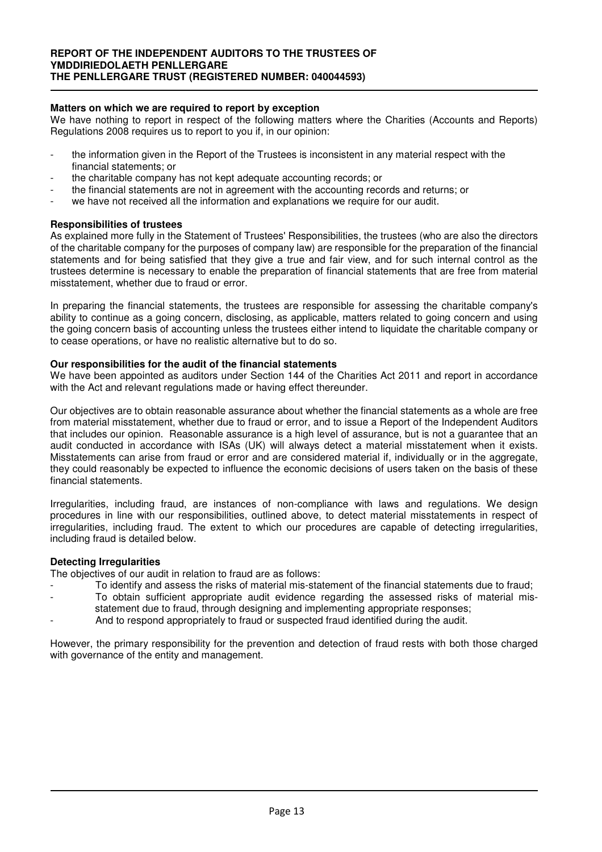# **Matters on which we are required to report by exception**

We have nothing to report in respect of the following matters where the Charities (Accounts and Reports) Regulations 2008 requires us to report to you if, in our opinion:

- the information given in the Report of the Trustees is inconsistent in any material respect with the financial statements; or
- the charitable company has not kept adequate accounting records; or
- the financial statements are not in agreement with the accounting records and returns; or
- we have not received all the information and explanations we require for our audit.

### **Responsibilities of trustees**

As explained more fully in the Statement of Trustees' Responsibilities, the trustees (who are also the directors of the charitable company for the purposes of company law) are responsible for the preparation of the financial statements and for being satisfied that they give a true and fair view, and for such internal control as the trustees determine is necessary to enable the preparation of financial statements that are free from material misstatement, whether due to fraud or error.

In preparing the financial statements, the trustees are responsible for assessing the charitable company's ability to continue as a going concern, disclosing, as applicable, matters related to going concern and using the going concern basis of accounting unless the trustees either intend to liquidate the charitable company or to cease operations, or have no realistic alternative but to do so.

### **Our responsibilities for the audit of the financial statements**

We have been appointed as auditors under Section 144 of the Charities Act 2011 and report in accordance with the Act and relevant regulations made or having effect thereunder.

Our objectives are to obtain reasonable assurance about whether the financial statements as a whole are free from material misstatement, whether due to fraud or error, and to issue a Report of the Independent Auditors that includes our opinion. Reasonable assurance is a high level of assurance, but is not a guarantee that an audit conducted in accordance with ISAs (UK) will always detect a material misstatement when it exists. Misstatements can arise from fraud or error and are considered material if, individually or in the aggregate, they could reasonably be expected to influence the economic decisions of users taken on the basis of these financial statements.

Irregularities, including fraud, are instances of non-compliance with laws and regulations. We design procedures in line with our responsibilities, outlined above, to detect material misstatements in respect of irregularities, including fraud. The extent to which our procedures are capable of detecting irregularities, including fraud is detailed below.

#### **Detecting Irregularities**

The objectives of our audit in relation to fraud are as follows:

- To identify and assess the risks of material mis-statement of the financial statements due to fraud;
- To obtain sufficient appropriate audit evidence regarding the assessed risks of material misstatement due to fraud, through designing and implementing appropriate responses;
- And to respond appropriately to fraud or suspected fraud identified during the audit.

However, the primary responsibility for the prevention and detection of fraud rests with both those charged with governance of the entity and management.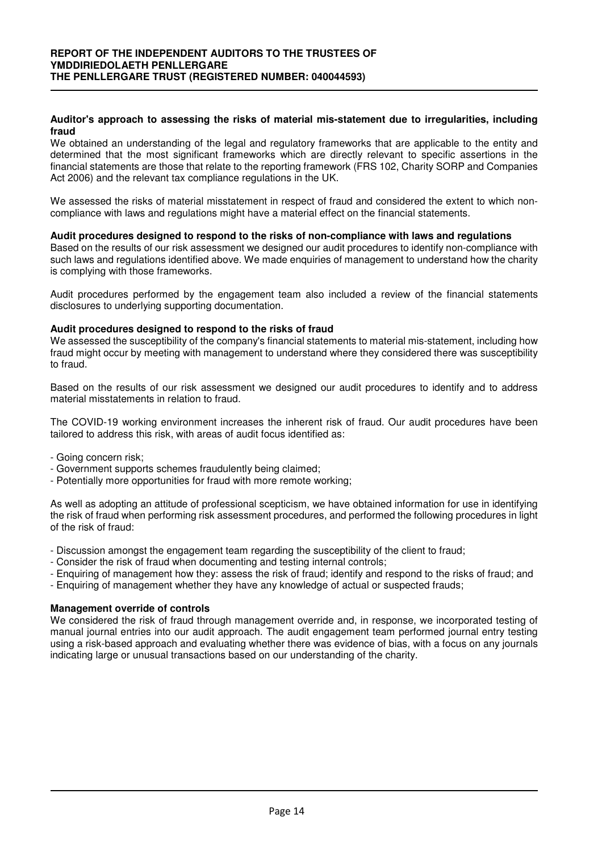#### **Auditor's approach to assessing the risks of material mis-statement due to irregularities, including fraud**

We obtained an understanding of the legal and regulatory frameworks that are applicable to the entity and determined that the most significant frameworks which are directly relevant to specific assertions in the financial statements are those that relate to the reporting framework (FRS 102, Charity SORP and Companies Act 2006) and the relevant tax compliance regulations in the UK.

We assessed the risks of material misstatement in respect of fraud and considered the extent to which noncompliance with laws and regulations might have a material effect on the financial statements.

### **Audit procedures designed to respond to the risks of non-compliance with laws and regulations**

Based on the results of our risk assessment we designed our audit procedures to identify non-compliance with such laws and regulations identified above. We made enquiries of management to understand how the charity is complying with those frameworks.

Audit procedures performed by the engagement team also included a review of the financial statements disclosures to underlying supporting documentation.

# **Audit procedures designed to respond to the risks of fraud**

We assessed the susceptibility of the company's financial statements to material mis-statement, including how fraud might occur by meeting with management to understand where they considered there was susceptibility to fraud.

Based on the results of our risk assessment we designed our audit procedures to identify and to address material misstatements in relation to fraud.

The COVID-19 working environment increases the inherent risk of fraud. Our audit procedures have been tailored to address this risk, with areas of audit focus identified as:

- Going concern risk;
- Government supports schemes fraudulently being claimed;
- Potentially more opportunities for fraud with more remote working;

As well as adopting an attitude of professional scepticism, we have obtained information for use in identifying the risk of fraud when performing risk assessment procedures, and performed the following procedures in light of the risk of fraud:

- Discussion amongst the engagement team regarding the susceptibility of the client to fraud;
- Consider the risk of fraud when documenting and testing internal controls;
- Enquiring of management how they: assess the risk of fraud; identify and respond to the risks of fraud; and
- Enquiring of management whether they have any knowledge of actual or suspected frauds;

#### **Management override of controls**

We considered the risk of fraud through management override and, in response, we incorporated testing of manual journal entries into our audit approach. The audit engagement team performed journal entry testing using a risk-based approach and evaluating whether there was evidence of bias, with a focus on any journals indicating large or unusual transactions based on our understanding of the charity.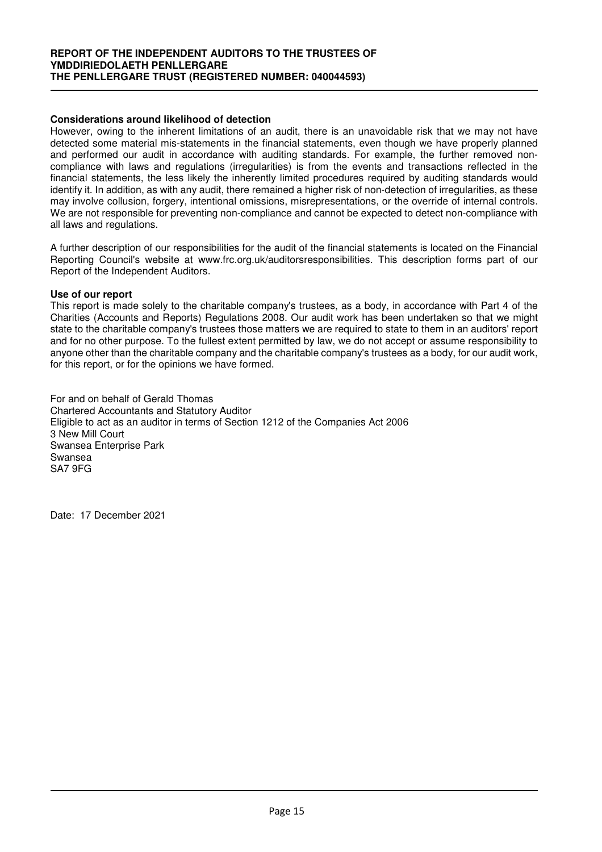# **Considerations around likelihood of detection**

However, owing to the inherent limitations of an audit, there is an unavoidable risk that we may not have detected some material mis-statements in the financial statements, even though we have properly planned and performed our audit in accordance with auditing standards. For example, the further removed noncompliance with laws and regulations (irregularities) is from the events and transactions reflected in the financial statements, the less likely the inherently limited procedures required by auditing standards would identify it. In addition, as with any audit, there remained a higher risk of non-detection of irregularities, as these may involve collusion, forgery, intentional omissions, misrepresentations, or the override of internal controls. We are not responsible for preventing non-compliance and cannot be expected to detect non-compliance with all laws and regulations.

A further description of our responsibilities for the audit of the financial statements is located on the Financial Reporting Council's website at www.frc.org.uk/auditorsresponsibilities. This description forms part of our Report of the Independent Auditors.

#### **Use of our report**

This report is made solely to the charitable company's trustees, as a body, in accordance with Part 4 of the Charities (Accounts and Reports) Regulations 2008. Our audit work has been undertaken so that we might state to the charitable company's trustees those matters we are required to state to them in an auditors' report and for no other purpose. To the fullest extent permitted by law, we do not accept or assume responsibility to anyone other than the charitable company and the charitable company's trustees as a body, for our audit work, for this report, or for the opinions we have formed.

For and on behalf of Gerald Thomas Chartered Accountants and Statutory Auditor Eligible to act as an auditor in terms of Section 1212 of the Companies Act 2006 3 New Mill Court Swansea Enterprise Park Swansea SA7 9FG

Date: 17 December 2021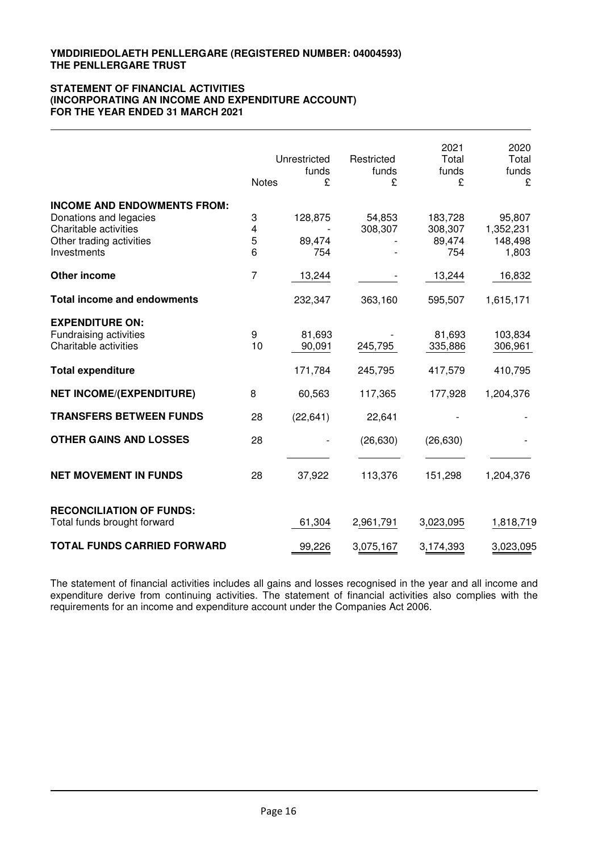#### **STATEMENT OF FINANCIAL ACTIVITIES (INCORPORATING AN INCOME AND EXPENDITURE ACCOUNT) FOR THE YEAR ENDED 31 MARCH 2021**

|                                    |                | Unrestricted<br>funds | Restricted<br>funds | 2021<br>Total<br>funds | 2020<br>Total<br>funds |
|------------------------------------|----------------|-----------------------|---------------------|------------------------|------------------------|
|                                    | <b>Notes</b>   | £                     | £                   | £                      | £                      |
| <b>INCOME AND ENDOWMENTS FROM:</b> |                |                       |                     |                        |                        |
| Donations and legacies             | 3              | 128,875               | 54,853              | 183,728                | 95,807                 |
| Charitable activities              | 4              |                       | 308,307             | 308,307                | 1,352,231              |
| Other trading activities           | 5              | 89,474                |                     | 89,474                 | 148,498                |
| Investments                        | 6              | 754                   |                     | 754                    | 1,803                  |
| <b>Other income</b>                | $\overline{7}$ | 13,244                |                     | 13,244                 | 16,832                 |
| <b>Total income and endowments</b> |                | 232,347               | 363,160             | 595,507                | 1,615,171              |
| <b>EXPENDITURE ON:</b>             |                |                       |                     |                        |                        |
| Fundraising activities             | 9              | 81,693                |                     | 81,693                 | 103,834                |
| Charitable activities              | 10             | 90,091                | 245,795             | 335,886                | 306,961                |
| <b>Total expenditure</b>           |                | 171,784               | 245,795             | 417,579                | 410,795                |
| <b>NET INCOME/(EXPENDITURE)</b>    | 8              | 60,563                | 117,365             | 177,928                | 1,204,376              |
| <b>TRANSFERS BETWEEN FUNDS</b>     | 28             | (22, 641)             | 22,641              |                        |                        |
| <b>OTHER GAINS AND LOSSES</b>      | 28             |                       | (26, 630)           | (26, 630)              |                        |
|                                    |                |                       |                     |                        |                        |
| <b>NET MOVEMENT IN FUNDS</b>       | 28             | 37,922                | 113,376             | 151,298                | 1,204,376              |
| <b>RECONCILIATION OF FUNDS:</b>    |                |                       |                     |                        |                        |
| Total funds brought forward        |                | 61,304                | 2,961,791           | 3,023,095              | 1,818,719              |
| <b>TOTAL FUNDS CARRIED FORWARD</b> |                | 99,226                | 3,075,167           | 3,174,393              | 3,023,095              |

The statement of financial activities includes all gains and losses recognised in the year and all income and expenditure derive from continuing activities. The statement of financial activities also complies with the requirements for an income and expenditure account under the Companies Act 2006.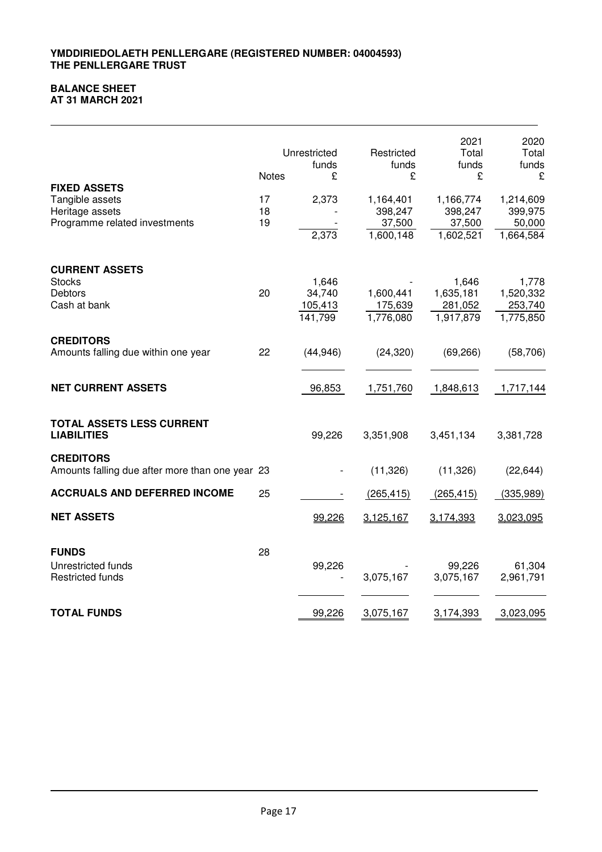# **BALANCE SHEET**

**AT 31 MARCH 2021**

|                                                                                            | <b>Notes</b>   | Unrestricted<br>funds<br>£            | Restricted<br>funds<br>£                    | 2021<br>Total<br>funds<br>£                 | 2020<br>Total<br>funds<br>£                 |
|--------------------------------------------------------------------------------------------|----------------|---------------------------------------|---------------------------------------------|---------------------------------------------|---------------------------------------------|
| <b>FIXED ASSETS</b><br>Tangible assets<br>Heritage assets<br>Programme related investments | 17<br>18<br>19 | 2,373<br>2,373                        | 1,164,401<br>398,247<br>37,500<br>1,600,148 | 1,166,774<br>398,247<br>37,500<br>1,602,521 | 1,214,609<br>399,975<br>50,000<br>1,664,584 |
| <b>CURRENT ASSETS</b><br><b>Stocks</b><br><b>Debtors</b><br>Cash at bank                   | 20             | 1,646<br>34,740<br>105,413<br>141,799 | 1,600,441<br>175,639<br>1,776,080           | 1,646<br>1,635,181<br>281,052<br>1,917,879  | 1,778<br>1,520,332<br>253,740<br>1,775,850  |
| <b>CREDITORS</b><br>Amounts falling due within one year                                    | 22             | (44, 946)                             | (24, 320)                                   | (69, 266)                                   | (58, 706)                                   |
| <b>NET CURRENT ASSETS</b>                                                                  |                | 96,853                                | 1,751,760                                   | 1,848,613                                   | 1,717,144                                   |
| TOTAL ASSETS LESS CURRENT<br><b>LIABILITIES</b>                                            |                | 99,226                                | 3,351,908                                   | 3,451,134                                   | 3,381,728                                   |
| <b>CREDITORS</b><br>Amounts falling due after more than one year 23                        |                |                                       | (11, 326)                                   | (11, 326)                                   | (22, 644)                                   |
| <b>ACCRUALS AND DEFERRED INCOME</b>                                                        | 25             |                                       | (265, 415)                                  | (265, 415)                                  | (335, 989)                                  |
| <b>NET ASSETS</b>                                                                          |                | 99,226                                | 3,125,167                                   | 3,174,393                                   | 3,023,095                                   |
| <b>FUNDS</b><br>Unrestricted funds<br><b>Restricted funds</b>                              | 28             | 99,226                                | 3,075,167                                   | 99,226<br>3,075,167                         | 61,304<br>2,961,791                         |
| <b>TOTAL FUNDS</b>                                                                         |                | 99,226                                | 3,075,167                                   | 3,174,393                                   | 3,023,095                                   |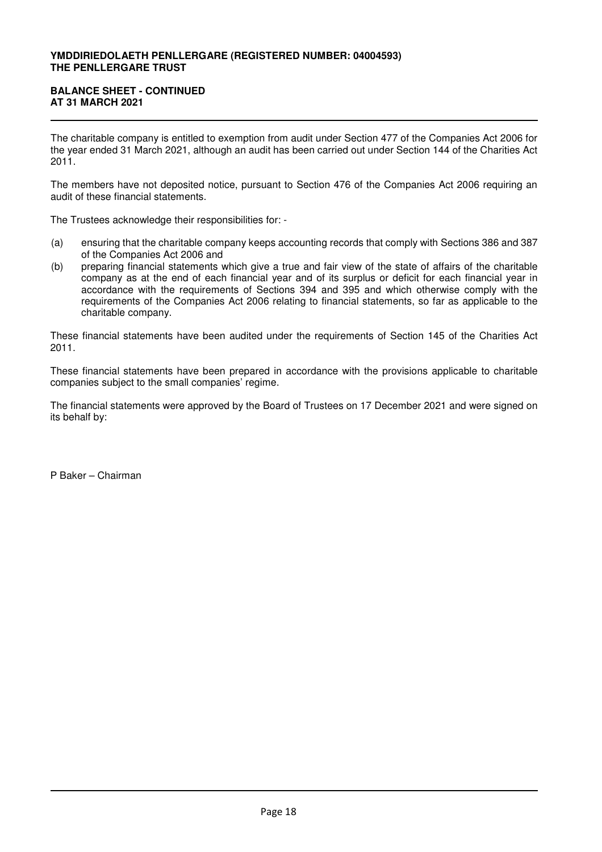### **BALANCE SHEET - CONTINUED AT 31 MARCH 2021**

The charitable company is entitled to exemption from audit under Section 477 of the Companies Act 2006 for the year ended 31 March 2021, although an audit has been carried out under Section 144 of the Charities Act 2011.

The members have not deposited notice, pursuant to Section 476 of the Companies Act 2006 requiring an audit of these financial statements.

The Trustees acknowledge their responsibilities for: -

- (a) ensuring that the charitable company keeps accounting records that comply with Sections 386 and 387 of the Companies Act 2006 and
- (b) preparing financial statements which give a true and fair view of the state of affairs of the charitable company as at the end of each financial year and of its surplus or deficit for each financial year in accordance with the requirements of Sections 394 and 395 and which otherwise comply with the requirements of the Companies Act 2006 relating to financial statements, so far as applicable to the charitable company.

These financial statements have been audited under the requirements of Section 145 of the Charities Act 2011.

These financial statements have been prepared in accordance with the provisions applicable to charitable companies subject to the small companies' regime.

The financial statements were approved by the Board of Trustees on 17 December 2021 and were signed on its behalf by:

P Baker – Chairman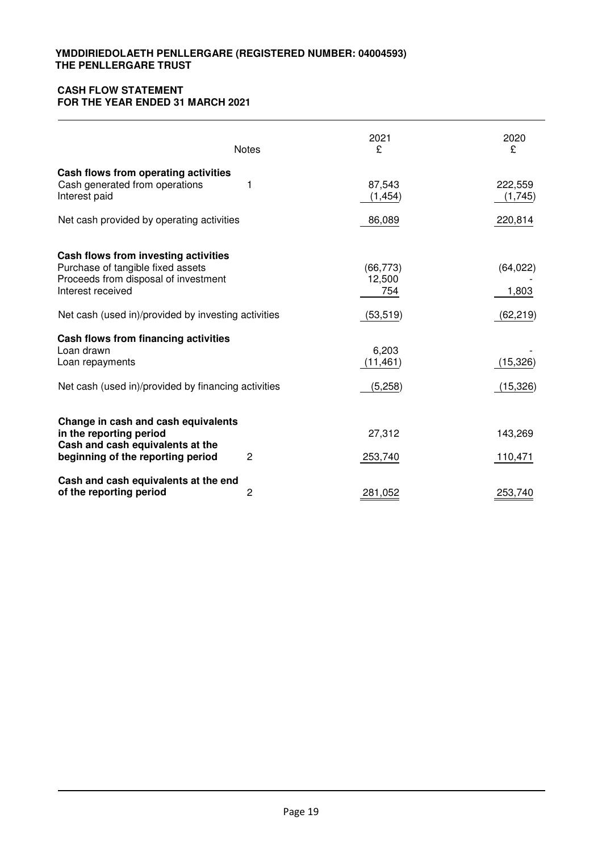# **CASH FLOW STATEMENT FOR THE YEAR ENDED 31 MARCH 2021**

|                                                                                                                                                                                               | <b>Notes</b> | 2021<br>£                               | 2020<br>£                       |
|-----------------------------------------------------------------------------------------------------------------------------------------------------------------------------------------------|--------------|-----------------------------------------|---------------------------------|
| Cash flows from operating activities<br>Cash generated from operations<br>Interest paid                                                                                                       | 1            | 87,543<br>(1, 454)                      | 222,559<br>(1,745)              |
| Net cash provided by operating activities                                                                                                                                                     |              | 86,089                                  | 220,814                         |
| Cash flows from investing activities<br>Purchase of tangible fixed assets<br>Proceeds from disposal of investment<br>Interest received<br>Net cash (used in)/provided by investing activities |              | (66, 773)<br>12,500<br>754<br>(53, 519) | (64, 022)<br>1,803<br>(62, 219) |
| Cash flows from financing activities<br>Loan drawn<br>Loan repayments                                                                                                                         |              | 6,203<br>(11, 461)                      | (15, 326)                       |
| Net cash (used in)/provided by financing activities                                                                                                                                           |              | (5,258)                                 | (15, 326)                       |
| Change in cash and cash equivalents<br>in the reporting period<br>Cash and cash equivalents at the<br>beginning of the reporting period                                                       | 2            | 27,312<br>253,740                       | 143,269<br>110,471              |
| Cash and cash equivalents at the end<br>of the reporting period                                                                                                                               | 2            | 281,052                                 | 253,740                         |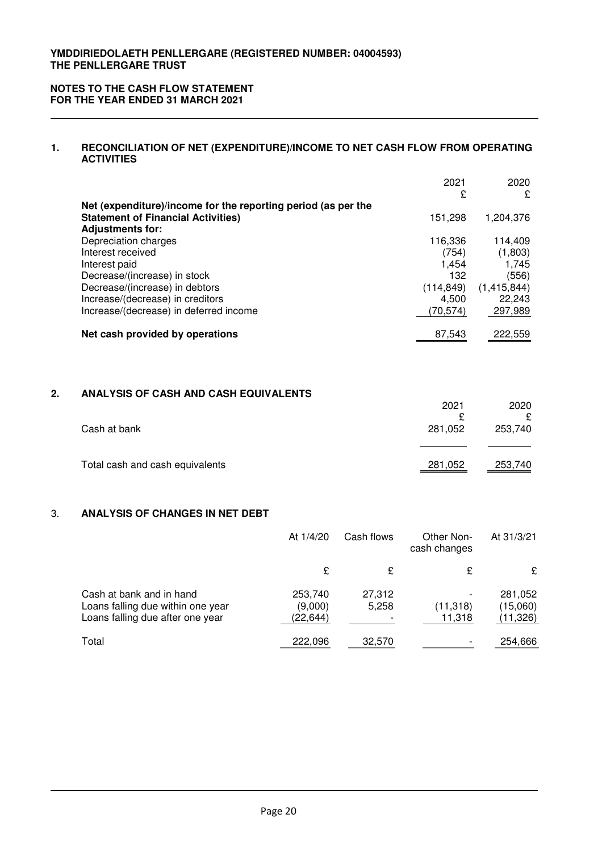#### **NOTES TO THE CASH FLOW STATEMENT FOR THE YEAR ENDED 31 MARCH 2021**

# **1. RECONCILIATION OF NET (EXPENDITURE)/INCOME TO NET CASH FLOW FROM OPERATING ACTIVITIES**

|                                                               | 2021       | 2020        |
|---------------------------------------------------------------|------------|-------------|
|                                                               | £          | £           |
| Net (expenditure)/income for the reporting period (as per the |            |             |
| <b>Statement of Financial Activities)</b>                     | 151.298    | 1,204,376   |
| <b>Adjustments for:</b>                                       |            |             |
| Depreciation charges                                          | 116,336    | 114,409     |
| Interest received                                             | (754)      | (1,803)     |
| Interest paid                                                 | 1.454      | 1,745       |
| Decrease/(increase) in stock                                  | 132        | (556)       |
| Decrease/(increase) in debtors                                | (114, 849) | (1,415,844) |
| Increase/(decrease) in creditors                              | 4,500      | 22,243      |
| Increase/(decrease) in deferred income                        | (70,574)   | 297,989     |
| Net cash provided by operations                               | 87.543     | 222.559     |

# **2. ANALYSIS OF CASH AND CASH EQUIVALENTS**

|                                 | 2021    | 2020    |
|---------------------------------|---------|---------|
|                                 | c       | ç       |
| Cash at bank                    | 281,052 | 253,740 |
|                                 |         |         |
| Total cash and cash equivalents | 281,052 | 253,740 |

# 3. **ANALYSIS OF CHANGES IN NET DEBT**

|                                                                                                   | At 1/4/20                       | Cash flows      | Other Non-<br>cash changes | At 31/3/21                       |
|---------------------------------------------------------------------------------------------------|---------------------------------|-----------------|----------------------------|----------------------------------|
|                                                                                                   | £                               | £               | £                          | £                                |
| Cash at bank and in hand<br>Loans falling due within one year<br>Loans falling due after one year | 253,740<br>(9,000)<br>(22, 644) | 27,312<br>5,258 | (11, 318)<br>11,318        | 281,052<br>(15,060)<br>(11, 326) |
| Total                                                                                             | 222,096                         | 32,570          |                            | 254,666                          |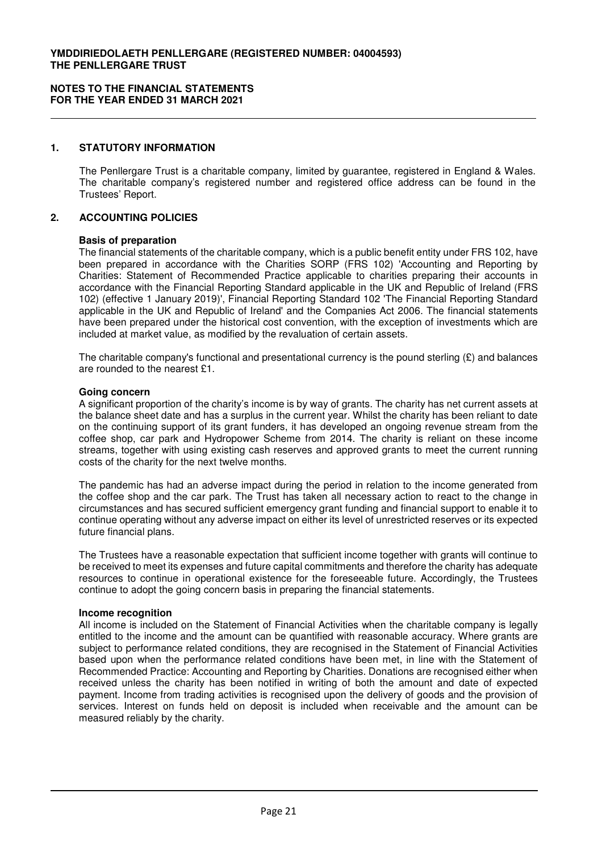#### **1. STATUTORY INFORMATION**

The Penllergare Trust is a charitable company, limited by guarantee, registered in England & Wales. The charitable company's registered number and registered office address can be found in the Trustees' Report.

#### **2. ACCOUNTING POLICIES**

#### **Basis of preparation**

The financial statements of the charitable company, which is a public benefit entity under FRS 102, have been prepared in accordance with the Charities SORP (FRS 102) 'Accounting and Reporting by Charities: Statement of Recommended Practice applicable to charities preparing their accounts in accordance with the Financial Reporting Standard applicable in the UK and Republic of Ireland (FRS 102) (effective 1 January 2019)', Financial Reporting Standard 102 'The Financial Reporting Standard applicable in the UK and Republic of Ireland' and the Companies Act 2006. The financial statements have been prepared under the historical cost convention, with the exception of investments which are included at market value, as modified by the revaluation of certain assets.

The charitable company's functional and presentational currency is the pound sterling  $(\mathfrak{L})$  and balances are rounded to the nearest £1.

#### **Going concern**

A significant proportion of the charity's income is by way of grants. The charity has net current assets at the balance sheet date and has a surplus in the current year. Whilst the charity has been reliant to date on the continuing support of its grant funders, it has developed an ongoing revenue stream from the coffee shop, car park and Hydropower Scheme from 2014. The charity is reliant on these income streams, together with using existing cash reserves and approved grants to meet the current running costs of the charity for the next twelve months.

The pandemic has had an adverse impact during the period in relation to the income generated from the coffee shop and the car park. The Trust has taken all necessary action to react to the change in circumstances and has secured sufficient emergency grant funding and financial support to enable it to continue operating without any adverse impact on either its level of unrestricted reserves or its expected future financial plans.

The Trustees have a reasonable expectation that sufficient income together with grants will continue to be received to meet its expenses and future capital commitments and therefore the charity has adequate resources to continue in operational existence for the foreseeable future. Accordingly, the Trustees continue to adopt the going concern basis in preparing the financial statements.

#### **Income recognition**

All income is included on the Statement of Financial Activities when the charitable company is legally entitled to the income and the amount can be quantified with reasonable accuracy. Where grants are subject to performance related conditions, they are recognised in the Statement of Financial Activities based upon when the performance related conditions have been met, in line with the Statement of Recommended Practice: Accounting and Reporting by Charities. Donations are recognised either when received unless the charity has been notified in writing of both the amount and date of expected payment. Income from trading activities is recognised upon the delivery of goods and the provision of services. Interest on funds held on deposit is included when receivable and the amount can be measured reliably by the charity.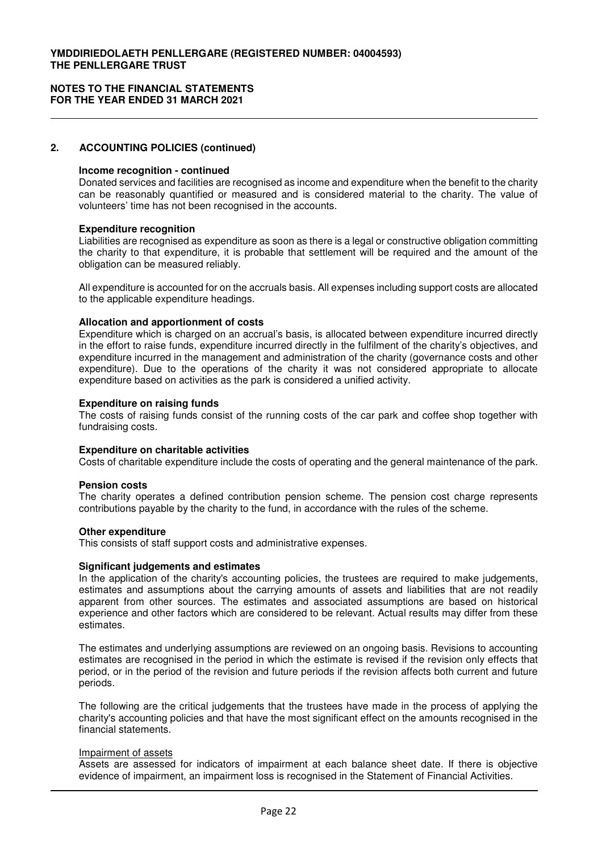# **2. ACCOUNTING POLICIES (continued)**

#### **Income recognition - continued**

Donated services and facilities are recognised as income and expenditure when the benefit to the charity can be reasonably quantified or measured and is considered material to the charity. The value of volunteers' time has not been recognised in the accounts.

#### **Expenditure recognition**

Liabilities are recognised as expenditure as soon as there is a legal or constructive obligation committing the charity to that expenditure, it is probable that settlement will be required and the amount of the obligation can be measured reliably.

All expenditure is accounted for on the accruals basis. All expenses including support costs are allocated to the applicable expenditure headings.

#### **Allocation and apportionment of costs**

Expenditure which is charged on an accrual's basis, is allocated between expenditure incurred directly in the effort to raise funds, expenditure incurred directly in the fulfilment of the charity's objectives, and expenditure incurred in the management and administration of the charity (governance costs and other expenditure). Due to the operations of the charity it was not considered appropriate to allocate expenditure based on activities as the park is considered a unified activity.

#### **Expenditure on raising funds**

The costs of raising funds consist of the running costs of the car park and coffee shop together with fundraising costs.

#### **Expenditure on charitable activities**

Costs of charitable expenditure include the costs of operating and the general maintenance of the park.

#### **Pension costs**

The charity operates a defined contribution pension scheme. The pension cost charge represents contributions payable by the charity to the fund, in accordance with the rules of the scheme.

#### **Other expenditure**

This consists of staff support costs and administrative expenses.

#### **Significant judgements and estimates**

In the application of the charity's accounting policies, the trustees are required to make judgements, estimates and assumptions about the carrying amounts of assets and liabilities that are not readily apparent from other sources. The estimates and associated assumptions are based on historical experience and other factors which are considered to be relevant. Actual results may differ from these estimates.

The estimates and underlying assumptions are reviewed on an ongoing basis. Revisions to accounting estimates are recognised in the period in which the estimate is revised if the revision only effects that period, or in the period of the revision and future periods if the revision affects both current and future periods.

The following are the critical judgements that the trustees have made in the process of applying the charity's accounting policies and that have the most significant effect on the amounts recognised in the financial statements.

#### Impairment of assets

Assets are assessed for indicators of impairment at each balance sheet date. If there is objective evidence of impairment, an impairment loss is recognised in the Statement of Financial Activities.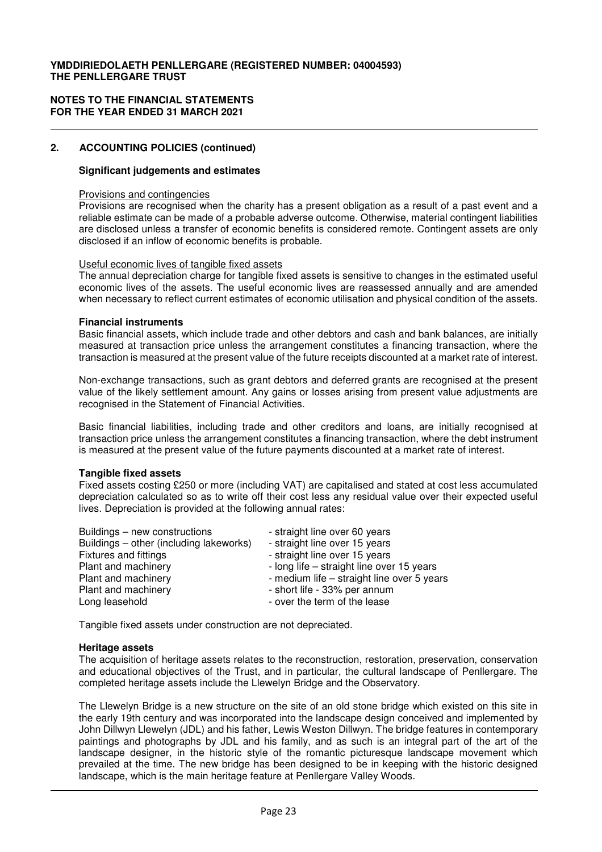#### **NOTES TO THE FINANCIAL STATEMENTS FOR THE YEAR ENDED 31 MARCH 2021**

# **2. ACCOUNTING POLICIES (continued)**

# **Significant judgements and estimates**

#### Provisions and contingencies

Provisions are recognised when the charity has a present obligation as a result of a past event and a reliable estimate can be made of a probable adverse outcome. Otherwise, material contingent liabilities are disclosed unless a transfer of economic benefits is considered remote. Contingent assets are only disclosed if an inflow of economic benefits is probable.

### Useful economic lives of tangible fixed assets

The annual depreciation charge for tangible fixed assets is sensitive to changes in the estimated useful economic lives of the assets. The useful economic lives are reassessed annually and are amended when necessary to reflect current estimates of economic utilisation and physical condition of the assets.

### **Financial instruments**

Basic financial assets, which include trade and other debtors and cash and bank balances, are initially measured at transaction price unless the arrangement constitutes a financing transaction, where the transaction is measured at the present value of the future receipts discounted at a market rate of interest.

Non-exchange transactions, such as grant debtors and deferred grants are recognised at the present value of the likely settlement amount. Any gains or losses arising from present value adjustments are recognised in the Statement of Financial Activities.

Basic financial liabilities, including trade and other creditors and loans, are initially recognised at transaction price unless the arrangement constitutes a financing transaction, where the debt instrument is measured at the present value of the future payments discounted at a market rate of interest.

# **Tangible fixed assets**

Fixed assets costing £250 or more (including VAT) are capitalised and stated at cost less accumulated depreciation calculated so as to write off their cost less any residual value over their expected useful lives. Depreciation is provided at the following annual rates:

| Buildings – new constructions           | - straight line over 60 years              |
|-----------------------------------------|--------------------------------------------|
| Buildings – other (including lakeworks) | - straight line over 15 years              |
| <b>Fixtures and fittings</b>            | - straight line over 15 years              |
| Plant and machinery                     | - long life – straight line over 15 years  |
| Plant and machinery                     | - medium life - straight line over 5 years |
| Plant and machinery                     | - short life - 33% per annum               |
| Long leasehold                          | - over the term of the lease               |

Tangible fixed assets under construction are not depreciated.

#### **Heritage assets**

The acquisition of heritage assets relates to the reconstruction, restoration, preservation, conservation and educational objectives of the Trust, and in particular, the cultural landscape of Penllergare. The completed heritage assets include the Llewelyn Bridge and the Observatory.

The Llewelyn Bridge is a new structure on the site of an old stone bridge which existed on this site in the early 19th century and was incorporated into the landscape design conceived and implemented by John Dillwyn Llewelyn (JDL) and his father, Lewis Weston Dillwyn. The bridge features in contemporary paintings and photographs by JDL and his family, and as such is an integral part of the art of the landscape designer, in the historic style of the romantic picturesque landscape movement which prevailed at the time. The new bridge has been designed to be in keeping with the historic designed landscape, which is the main heritage feature at Penllergare Valley Woods.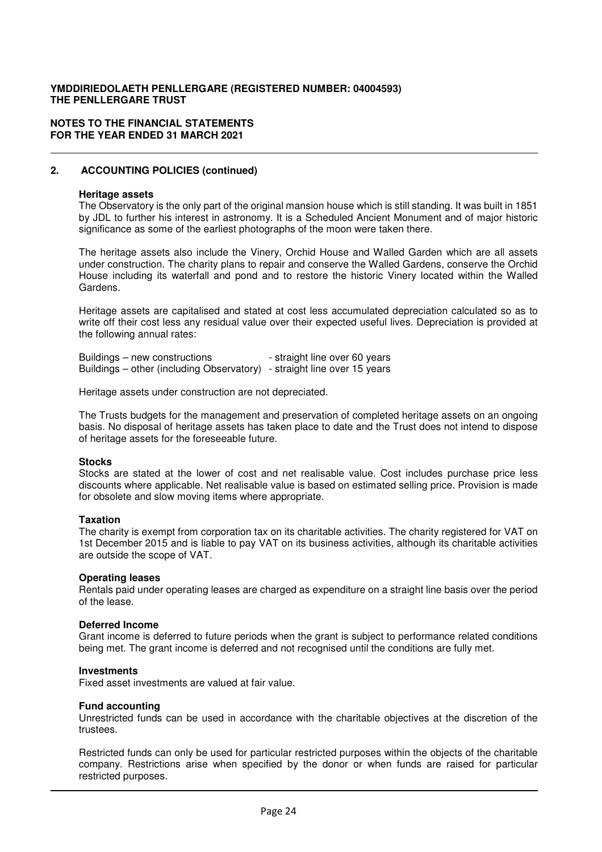#### **NOTES TO THE FINANCIAL STATEMENTS FOR THE YEAR ENDED 31 MARCH 2021**

# **2. ACCOUNTING POLICIES (continued)**

#### **Heritage assets**

The Observatory is the only part of the original mansion house which is still standing. It was built in 1851 by JDL to further his interest in astronomy. It is a Scheduled Ancient Monument and of major historic significance as some of the earliest photographs of the moon were taken there.

The heritage assets also include the Vinery, Orchid House and Walled Garden which are all assets under construction. The charity plans to repair and conserve the Walled Gardens, conserve the Orchid House including its waterfall and pond and to restore the historic Vinery located within the Walled Gardens.

Heritage assets are capitalised and stated at cost less accumulated depreciation calculated so as to write off their cost less any residual value over their expected useful lives. Depreciation is provided at the following annual rates:

Buildings – new constructions - straight line over 60 years Buildings – other (including Observatory) - straight line over 15 years

Heritage assets under construction are not depreciated.

The Trusts budgets for the management and preservation of completed heritage assets on an ongoing basis. No disposal of heritage assets has taken place to date and the Trust does not intend to dispose of heritage assets for the foreseeable future.

#### **Stocks**

Stocks are stated at the lower of cost and net realisable value. Cost includes purchase price less discounts where applicable. Net realisable value is based on estimated selling price. Provision is made for obsolete and slow moving items where appropriate.

#### **Taxation**

The charity is exempt from corporation tax on its charitable activities. The charity registered for VAT on 1st December 2015 and is liable to pay VAT on its business activities, although its charitable activities are outside the scope of VAT.

#### **Operating leases**

Rentals paid under operating leases are charged as expenditure on a straight line basis over the period of the lease.

#### **Deferred Income**

Grant income is deferred to future periods when the grant is subject to performance related conditions being met. The grant income is deferred and not recognised until the conditions are fully met.

#### **Investments**

Fixed asset investments are valued at fair value.

#### **Fund accounting**

Unrestricted funds can be used in accordance with the charitable objectives at the discretion of the trustees.

Restricted funds can only be used for particular restricted purposes within the objects of the charitable company. Restrictions arise when specified by the donor or when funds are raised for particular restricted purposes.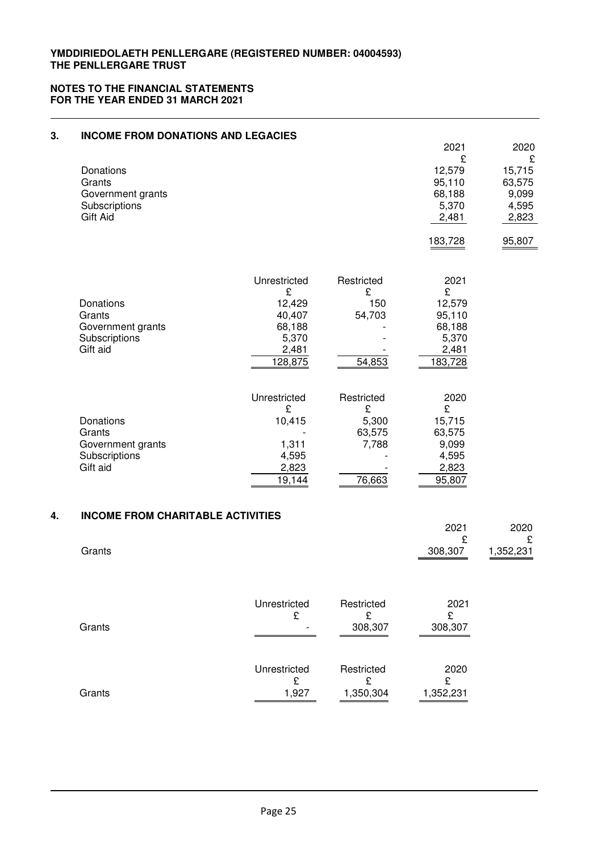| 3. | <b>INCOME FROM DONATIONS AND LEGACIES</b>                             |                                                                              |                                                       |                                                                      |                                                                    |
|----|-----------------------------------------------------------------------|------------------------------------------------------------------------------|-------------------------------------------------------|----------------------------------------------------------------------|--------------------------------------------------------------------|
|    | Donations<br>Grants<br>Government grants<br>Subscriptions<br>Gift Aid |                                                                              |                                                       | 2021<br>£<br>12,579<br>95,110<br>68,188<br>5,370<br>2,481<br>183,728 | 2020<br>£<br>15,715<br>63,575<br>9,099<br>4,595<br>2,823<br>95,807 |
|    | Donations<br>Grants<br>Government grants<br>Subscriptions<br>Gift aid | Unrestricted<br>£<br>12,429<br>40,407<br>68,188<br>5,370<br>2,481<br>128,875 | Restricted<br>£<br>150<br>54,703<br>54,853            | 2021<br>£<br>12,579<br>95,110<br>68,188<br>5,370<br>2,481<br>183,728 |                                                                    |
|    | Donations<br>Grants<br>Government grants<br>Subscriptions<br>Gift aid | Unrestricted<br>£<br>10,415<br>1,311<br>4,595<br>2,823<br>19,144             | Restricted<br>£<br>5,300<br>63,575<br>7,788<br>76,663 | 2020<br>£<br>15,715<br>63,575<br>9,099<br>4,595<br>2,823<br>95,807   |                                                                    |
| 4. | <b>INCOME FROM CHARITABLE ACTIVITIES</b>                              |                                                                              |                                                       | 2021                                                                 | 2020                                                               |
|    | Grants                                                                |                                                                              |                                                       | £<br>308,307                                                         | £<br>1,352,231                                                     |
|    | Grants                                                                | Unrestricted<br>£                                                            | Restricted<br>£<br>308,307                            | 2021<br>£<br>308,307                                                 |                                                                    |
|    | Grants                                                                | Unrestricted<br>£<br>1,927                                                   | Restricted<br>£<br>1,350,304                          | 2020<br>£<br>1,352,231                                               |                                                                    |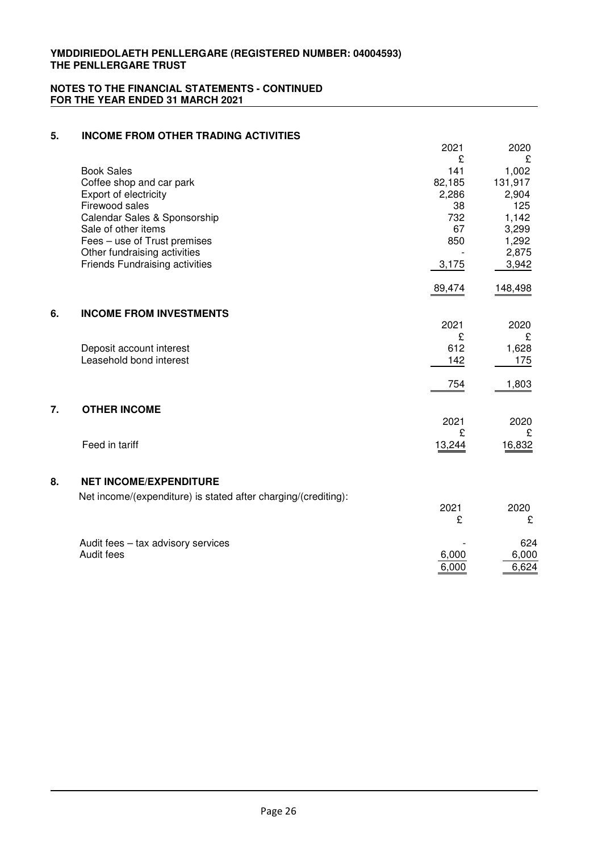| 5. | <b>INCOME FROM OTHER TRADING ACTIVITIES</b>                    |             |                  |
|----|----------------------------------------------------------------|-------------|------------------|
|    |                                                                | 2021        | 2020             |
|    | <b>Book Sales</b>                                              | £<br>141    | £                |
|    | Coffee shop and car park                                       | 82,185      | 1,002<br>131,917 |
|    | Export of electricity                                          | 2,286       | 2,904            |
|    | Firewood sales                                                 | 38          | 125              |
|    | Calendar Sales & Sponsorship                                   | 732         | 1,142            |
|    | Sale of other items                                            | 67          | 3,299            |
|    | Fees - use of Trust premises<br>Other fundraising activities   | 850         | 1,292<br>2,875   |
|    | <b>Friends Fundraising activities</b>                          | 3,175       | 3,942            |
|    |                                                                | 89,474      | 148,498          |
| 6. | <b>INCOME FROM INVESTMENTS</b>                                 |             |                  |
|    |                                                                | 2021        | 2020             |
|    |                                                                | £           | £                |
|    | Deposit account interest                                       | 612         | 1,628            |
|    | Leasehold bond interest                                        | 142         | 175              |
|    |                                                                | 754         | 1,803            |
| 7. | <b>OTHER INCOME</b>                                            |             |                  |
|    |                                                                | 2021        | 2020             |
|    | Feed in tariff                                                 | £<br>13,244 | £<br>16,832      |
|    |                                                                |             |                  |
| 8. | <b>NET INCOME/EXPENDITURE</b>                                  |             |                  |
|    | Net income/(expenditure) is stated after charging/(crediting): |             |                  |
|    |                                                                | 2021<br>£   | 2020<br>£        |
|    | Audit fees - tax advisory services                             |             | 624              |
|    | Audit fees                                                     | 6,000       | 6,000            |
|    |                                                                | 6,000       | 6,624            |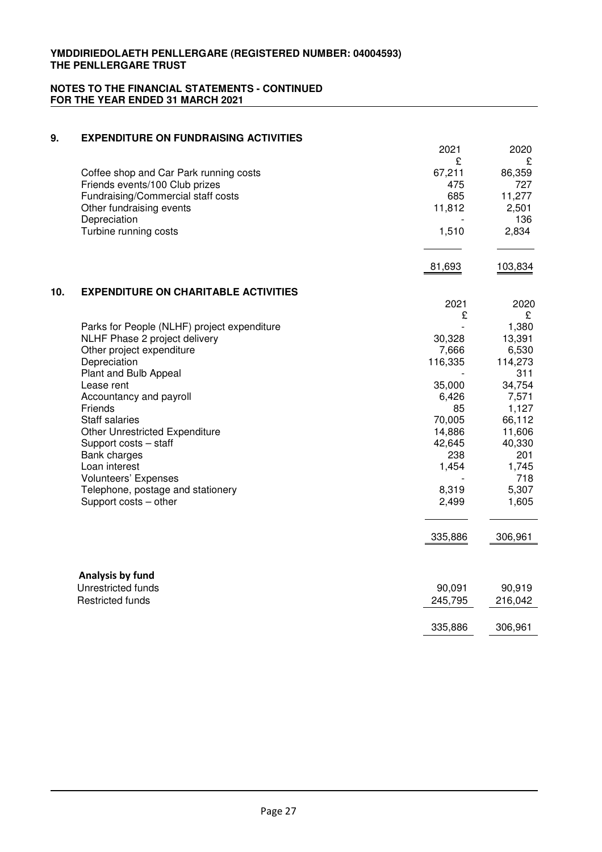| 9.  | <b>EXPENDITURE ON FUNDRAISING ACTIVITIES</b>                         |             |                |
|-----|----------------------------------------------------------------------|-------------|----------------|
|     |                                                                      | 2021        | 2020           |
|     |                                                                      | £           | £              |
|     | Coffee shop and Car Park running costs                               | 67,211      | 86,359         |
|     | Friends events/100 Club prizes<br>Fundraising/Commercial staff costs | 475<br>685  | 727<br>11,277  |
|     | Other fundraising events                                             | 11,812      | 2,501          |
|     | Depreciation                                                         |             | 136            |
|     | Turbine running costs                                                | 1,510       | 2,834          |
|     |                                                                      | 81,693      | 103,834        |
| 10. | <b>EXPENDITURE ON CHARITABLE ACTIVITIES</b>                          |             |                |
|     |                                                                      | 2021        | 2020           |
|     |                                                                      | £           | £              |
|     | Parks for People (NLHF) project expenditure                          |             | 1,380          |
|     | NLHF Phase 2 project delivery                                        | 30,328      | 13,391         |
|     | Other project expenditure                                            | 7,666       | 6,530          |
|     | Depreciation                                                         | 116,335     | 114,273        |
|     | Plant and Bulb Appeal                                                |             | 311            |
|     | Lease rent                                                           | 35,000      | 34,754         |
|     | Accountancy and payroll<br>Friends                                   | 6,426<br>85 | 7,571<br>1,127 |
|     | <b>Staff salaries</b>                                                | 70,005      | 66,112         |
|     | Other Unrestricted Expenditure                                       | 14,886      | 11,606         |
|     | Support costs - staff                                                | 42,645      | 40,330         |
|     | Bank charges                                                         | 238         | 201            |
|     | Loan interest                                                        | 1,454       | 1,745          |
|     | Volunteers' Expenses                                                 |             | 718            |
|     | Telephone, postage and stationery                                    | 8,319       | 5,307          |
|     | Support costs - other                                                | 2,499       | 1,605          |
|     |                                                                      | 335,886     | 306,961        |
|     |                                                                      |             |                |
|     | Analysis by fund                                                     |             |                |
|     | Unrestricted funds                                                   | 90,091      | 90,919         |
|     | <b>Restricted funds</b>                                              | 245,795     | 216,042        |
|     |                                                                      | 335,886     | 306,961        |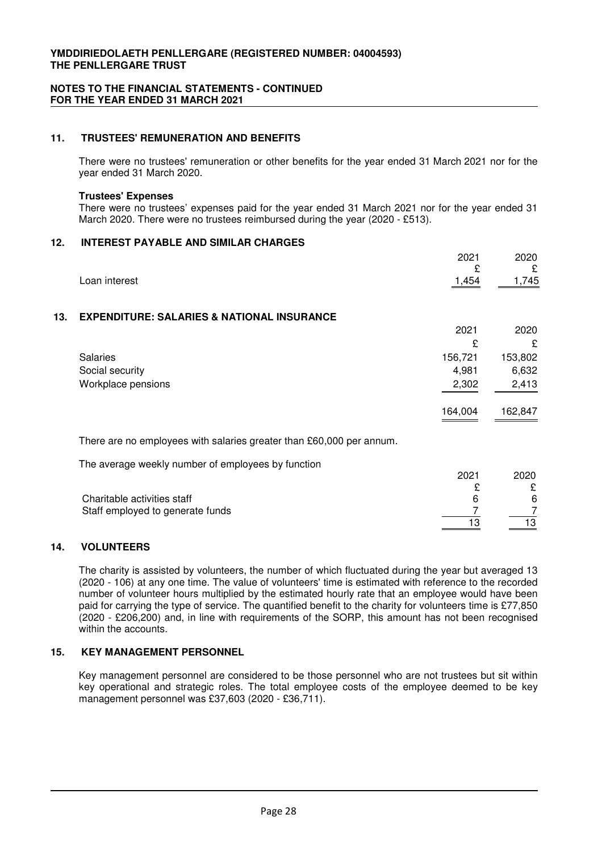# **11. TRUSTEES' REMUNERATION AND BENEFITS**

There were no trustees' remuneration or other benefits for the year ended 31 March 2021 nor for the year ended 31 March 2020.

#### **Trustees' Expenses**

There were no trustees' expenses paid for the year ended 31 March 2021 nor for the year ended 31 March 2020. There were no trustees reimbursed during the year (2020 - £513).

#### **12. INTEREST PAYABLE AND SIMILAR CHARGES**

|     |                                                                      | 2021       | 2020       |
|-----|----------------------------------------------------------------------|------------|------------|
|     | Loan interest                                                        | £<br>1,454 | £<br>1,745 |
| 13. | <b>EXPENDITURE: SALARIES &amp; NATIONAL INSURANCE</b>                |            |            |
|     |                                                                      | 2021       | 2020       |
|     |                                                                      | £          | £          |
|     | <b>Salaries</b>                                                      | 156,721    | 153,802    |
|     | Social security                                                      | 4,981      | 6,632      |
|     | Workplace pensions                                                   | 2,302      | 2,413      |
|     |                                                                      | 164,004    | 162,847    |
|     | There are no employees with salaries greater than £60,000 per annum. |            |            |
|     | The average weekly number of employees by function                   |            |            |
|     |                                                                      | 2021       | 2020       |
|     |                                                                      | £          | £          |
|     | Charitable activities staff                                          | 6          | 6          |
|     | Staff employed to generate funds                                     | 7<br>13    | 7<br>13    |
|     |                                                                      |            |            |

# **14. VOLUNTEERS**

The charity is assisted by volunteers, the number of which fluctuated during the year but averaged 13 (2020 - 106) at any one time. The value of volunteers' time is estimated with reference to the recorded number of volunteer hours multiplied by the estimated hourly rate that an employee would have been paid for carrying the type of service. The quantified benefit to the charity for volunteers time is £77,850 (2020 - £206,200) and, in line with requirements of the SORP, this amount has not been recognised within the accounts.

## **15. KEY MANAGEMENT PERSONNEL**

Key management personnel are considered to be those personnel who are not trustees but sit within key operational and strategic roles. The total employee costs of the employee deemed to be key management personnel was £37,603 (2020 - £36,711).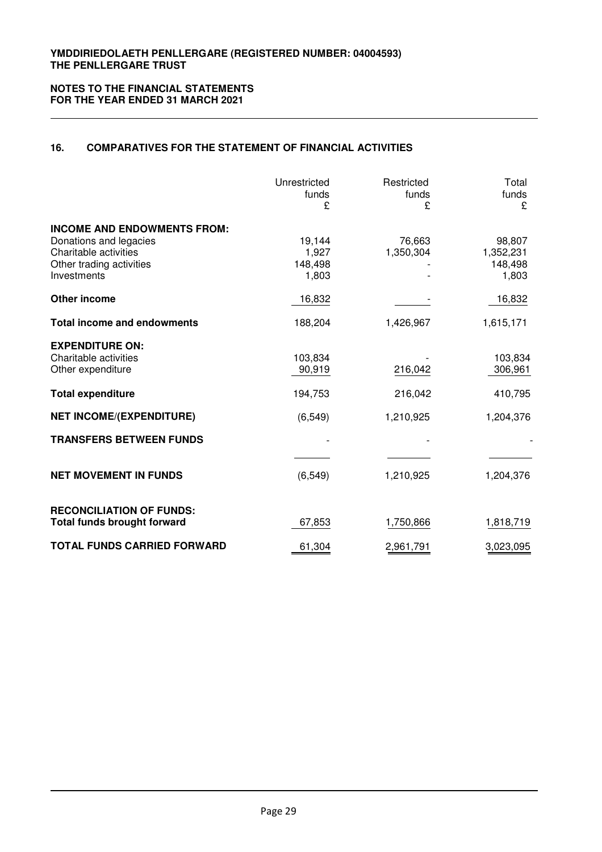# **16. COMPARATIVES FOR THE STATEMENT OF FINANCIAL ACTIVITIES**

|                                                                                                                                     | Unrestricted<br>funds<br>£               | Restricted<br>funds<br>£        | Total<br>funds<br>£                        |
|-------------------------------------------------------------------------------------------------------------------------------------|------------------------------------------|---------------------------------|--------------------------------------------|
| <b>INCOME AND ENDOWMENTS FROM:</b><br>Donations and legacies<br>Charitable activities<br>Other trading activities<br>Investments    | 19,144<br>1,927<br>148,498<br>1,803      | 76,663<br>1,350,304             | 98,807<br>1,352,231<br>148,498<br>1,803    |
| <b>Other income</b>                                                                                                                 | 16,832                                   |                                 | 16,832                                     |
| <b>Total income and endowments</b>                                                                                                  | 188,204                                  | 1,426,967                       | 1,615,171                                  |
| <b>EXPENDITURE ON:</b><br>Charitable activities<br>Other expenditure<br><b>Total expenditure</b><br><b>NET INCOME/(EXPENDITURE)</b> | 103,834<br>90,919<br>194,753<br>(6, 549) | 216,042<br>216,042<br>1,210,925 | 103,834<br>306,961<br>410,795<br>1,204,376 |
| <b>TRANSFERS BETWEEN FUNDS</b>                                                                                                      |                                          |                                 |                                            |
| <b>NET MOVEMENT IN FUNDS</b>                                                                                                        | (6, 549)                                 | 1,210,925                       | 1,204,376                                  |
| <b>RECONCILIATION OF FUNDS:</b><br><b>Total funds brought forward</b>                                                               | 67,853                                   | 1,750,866                       | 1,818,719                                  |
| <b>TOTAL FUNDS CARRIED FORWARD</b>                                                                                                  | 61,304                                   | 2,961,791                       | 3,023,095                                  |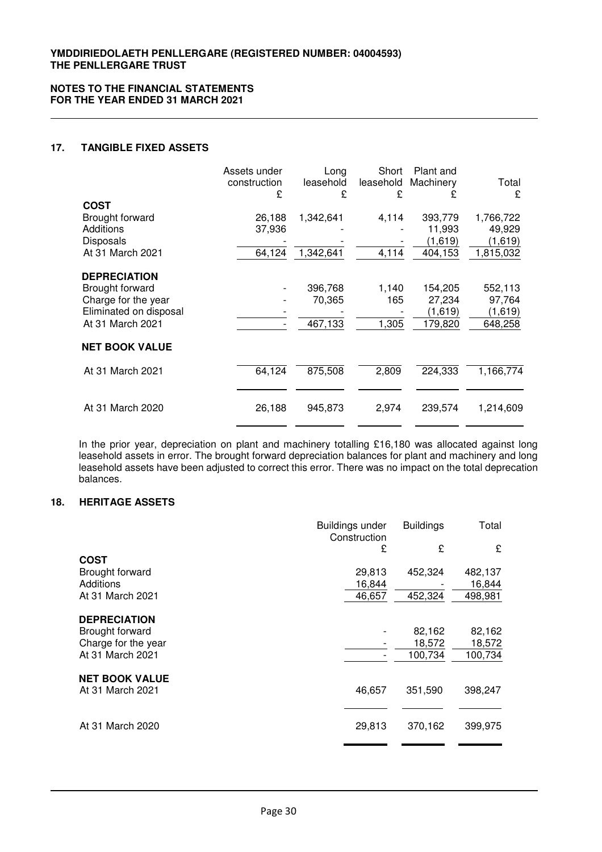### **17. TANGIBLE FIXED ASSETS**

|                        | Assets under<br>construction<br>£ | Long<br>leasehold<br>£ | Short<br>leasehold<br>£ | Plant and<br>Machinery<br>£ | Total<br>£ |
|------------------------|-----------------------------------|------------------------|-------------------------|-----------------------------|------------|
| <b>COST</b>            |                                   |                        |                         |                             |            |
| Brought forward        | 26,188                            | 1,342,641              | 4,114                   | 393,779                     | 1,766,722  |
| Additions              | 37,936                            |                        |                         | 11,993                      | 49,929     |
| <b>Disposals</b>       |                                   |                        |                         | (1,619)                     | (1,619)    |
| At 31 March 2021       | 64,124                            | 1,342,641              | 4,114                   | 404,153                     | 1,815,032  |
| <b>DEPRECIATION</b>    |                                   |                        |                         |                             |            |
| Brought forward        |                                   | 396,768                | 1,140                   | 154,205                     | 552,113    |
| Charge for the year    |                                   | 70,365                 | 165                     | 27,234                      | 97,764     |
| Eliminated on disposal |                                   |                        |                         | (1,619)                     | (1,619)    |
| At 31 March 2021       |                                   | 467,133                | 1,305                   | 179,820                     | 648,258    |
| <b>NET BOOK VALUE</b>  |                                   |                        |                         |                             |            |
| At 31 March 2021       | 64,124                            | 875,508                | 2,809                   | 224,333                     | 1,166,774  |
|                        |                                   |                        |                         |                             |            |
| At 31 March 2020       | 26,188                            | 945,873                | 2,974                   | 239,574                     | 1,214,609  |
|                        |                                   |                        |                         |                             |            |

In the prior year, depreciation on plant and machinery totalling £16,180 was allocated against long leasehold assets in error. The brought forward depreciation balances for plant and machinery and long leasehold assets have been adjusted to correct this error. There was no impact on the total deprecation balances.

# **18. HERITAGE ASSETS**

|                              | Buildings under<br>Construction | <b>Buildings</b> | Total   |
|------------------------------|---------------------------------|------------------|---------|
|                              | £                               | £                | £       |
| <b>COST</b>                  |                                 |                  |         |
| Brought forward<br>Additions | 29,813                          | 452,324          | 482,137 |
|                              | 16,844                          |                  | 16,844  |
| At 31 March 2021             | 46,657                          | 452,324          | 498,981 |
| <b>DEPRECIATION</b>          |                                 |                  |         |
| Brought forward              |                                 | 82,162           | 82,162  |
| Charge for the year          |                                 | 18,572           | 18,572  |
| At 31 March 2021             |                                 | 100,734          | 100,734 |
| <b>NET BOOK VALUE</b>        |                                 |                  |         |
| At 31 March 2021             | 46,657                          | 351,590          | 398,247 |
| At 31 March 2020             | 29,813                          | 370,162          | 399,975 |
|                              |                                 |                  |         |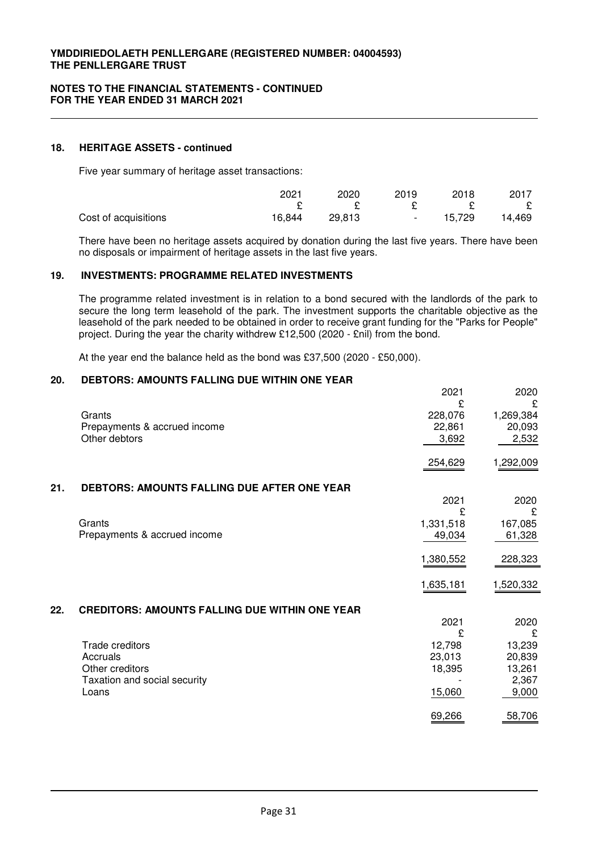#### **18. HERITAGE ASSETS - continued**

Five year summary of heritage asset transactions:

|                      | 2021   | 2020   | 2019   | 2018   | 2017   |
|----------------------|--------|--------|--------|--------|--------|
|                      |        |        |        |        | E      |
| Cost of acquisitions | 16.844 | 29.813 | $\sim$ | 15.729 | 14.469 |

There have been no heritage assets acquired by donation during the last five years. There have been no disposals or impairment of heritage assets in the last five years.

# **19. INVESTMENTS: PROGRAMME RELATED INVESTMENTS**

The programme related investment is in relation to a bond secured with the landlords of the park to secure the long term leasehold of the park. The investment supports the charitable objective as the leasehold of the park needed to be obtained in order to receive grant funding for the "Parks for People" project. During the year the charity withdrew £12,500 (2020 - £nil) from the bond.

At the year end the balance held as the bond was £37,500 (2020 - £50,000).

### **20. DEBTORS: AMOUNTS FALLING DUE WITHIN ONE YEAR**

|     |                                                       | 2021         | 2020           |
|-----|-------------------------------------------------------|--------------|----------------|
|     | Grants                                                | £<br>228,076 | £<br>1,269,384 |
|     | Prepayments & accrued income                          | 22,861       | 20,093         |
|     | Other debtors                                         | 3,692        | 2,532          |
|     |                                                       |              |                |
|     |                                                       | 254,629      | 1,292,009      |
| 21. | DEBTORS: AMOUNTS FALLING DUE AFTER ONE YEAR           |              |                |
|     |                                                       | 2021         | 2020           |
|     |                                                       | £            | £              |
|     | Grants                                                | 1,331,518    | 167,085        |
|     | Prepayments & accrued income                          | 49,034       | 61,328         |
|     |                                                       | 1,380,552    | 228,323        |
|     |                                                       | 1,635,181    | 1,520,332      |
| 22. | <b>CREDITORS: AMOUNTS FALLING DUE WITHIN ONE YEAR</b> |              |                |
|     |                                                       | 2021         | 2020           |
|     |                                                       | £            | £              |
|     | <b>Trade creditors</b>                                | 12,798       | 13,239         |
|     | Accruals                                              | 23,013       | 20,839         |
|     | Other creditors                                       | 18,395       | 13,261         |
|     | Taxation and social security                          |              | 2,367          |
|     | Loans                                                 | 15,060       | 9,000          |
|     |                                                       | 69,266       | 58,706         |
|     |                                                       |              |                |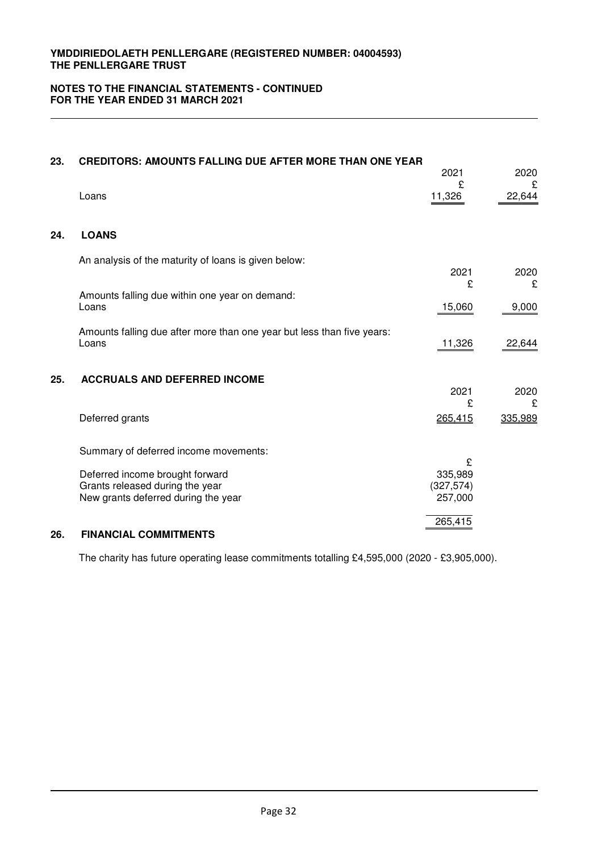# **NOTES TO THE FINANCIAL STATEMENTS - CONTINUED FOR THE YEAR ENDED 31 MARCH 2021**

| 23. | <b>CREDITORS: AMOUNTS FALLING DUE AFTER MORE THAN ONE YEAR</b>                                            | 2021                                  | 2020         |
|-----|-----------------------------------------------------------------------------------------------------------|---------------------------------------|--------------|
|     | Loans                                                                                                     | £<br>11,326                           | £<br>22,644  |
| 24. | <b>LOANS</b>                                                                                              |                                       |              |
|     | An analysis of the maturity of loans is given below:                                                      | 2021                                  | 2020         |
|     | Amounts falling due within one year on demand:<br>Loans                                                   | £<br>15,060                           | £<br>9,000   |
|     | Amounts falling due after more than one year but less than five years:<br>Loans                           | 11,326                                | 22,644       |
| 25. | <b>ACCRUALS AND DEFERRED INCOME</b>                                                                       | 2021                                  | 2020         |
|     | Deferred grants                                                                                           | £<br>265,415                          | £<br>335,989 |
|     | Summary of deferred income movements:                                                                     |                                       |              |
|     | Deferred income brought forward<br>Grants released during the year<br>New grants deferred during the year | £<br>335,989<br>(327, 574)<br>257,000 |              |
| 26. | <b>FINANCIAL COMMITMENTS</b>                                                                              | 265,415                               |              |

The charity has future operating lease commitments totalling £4,595,000 (2020 - £3,905,000).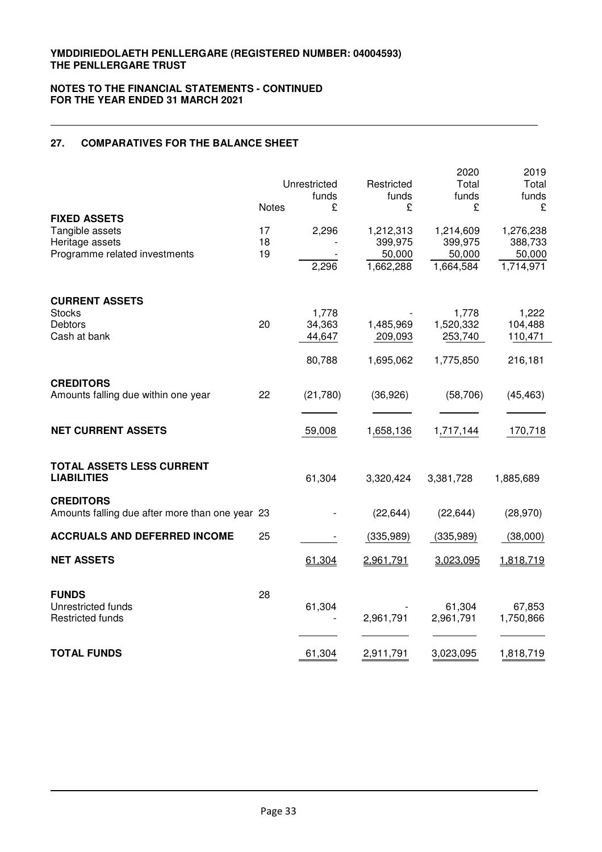# **27. COMPARATIVES FOR THE BALANCE SHEET**

|                                                                                            | <b>Notes</b>   | Unrestricted<br>funds<br>£ | Restricted<br>funds<br>£                    | 2020<br>Total<br>funds<br>£                 | 2019<br>Total<br>funds<br>£                 |
|--------------------------------------------------------------------------------------------|----------------|----------------------------|---------------------------------------------|---------------------------------------------|---------------------------------------------|
| <b>FIXED ASSETS</b><br>Tangible assets<br>Heritage assets<br>Programme related investments | 17<br>18<br>19 | 2,296<br>2,296             | 1,212,313<br>399,975<br>50,000<br>1,662,288 | 1,214,609<br>399,975<br>50,000<br>1,664,584 | 1,276,238<br>388,733<br>50,000<br>1,714,971 |
| <b>CURRENT ASSETS</b><br><b>Stocks</b>                                                     |                | 1,778                      |                                             | 1,778                                       | 1,222                                       |
| Debtors<br>Cash at bank                                                                    | 20             | 34,363<br>44,647           | 1,485,969<br>209,093                        | 1,520,332<br>253,740                        | 104,488<br>110,471                          |
|                                                                                            |                | 80,788                     | 1,695,062                                   | 1,775,850                                   | 216,181                                     |
| <b>CREDITORS</b><br>Amounts falling due within one year                                    | 22             | (21,780)                   | (36,926)                                    | (58, 706)                                   | (45, 463)                                   |
| <b>NET CURRENT ASSETS</b>                                                                  |                | 59,008                     | 1,658,136                                   | 1,717,144                                   | 170,718                                     |
| TOTAL ASSETS LESS CURRENT<br><b>LIABILITIES</b>                                            |                | 61,304                     | 3,320,424                                   | 3,381,728                                   | 1,885,689                                   |
| <b>CREDITORS</b><br>Amounts falling due after more than one year 23                        |                |                            | (22, 644)                                   | (22, 644)                                   | (28, 970)                                   |
| <b>ACCRUALS AND DEFERRED INCOME</b>                                                        | 25             |                            | (335,989)                                   | (335,989)                                   | (38,000)                                    |
| <b>NET ASSETS</b>                                                                          |                | 61,304                     | 2,961,791                                   | 3,023,095                                   | 1,818,719                                   |
| <b>FUNDS</b><br>Unrestricted funds<br><b>Restricted funds</b>                              | 28             | 61,304                     | 2,961,791                                   | 61,304<br>2,961,791                         | 67,853<br>1,750,866                         |
| <b>TOTAL FUNDS</b>                                                                         |                | 61,304                     | 2,911,791                                   | 3,023,095                                   | 1,818,719                                   |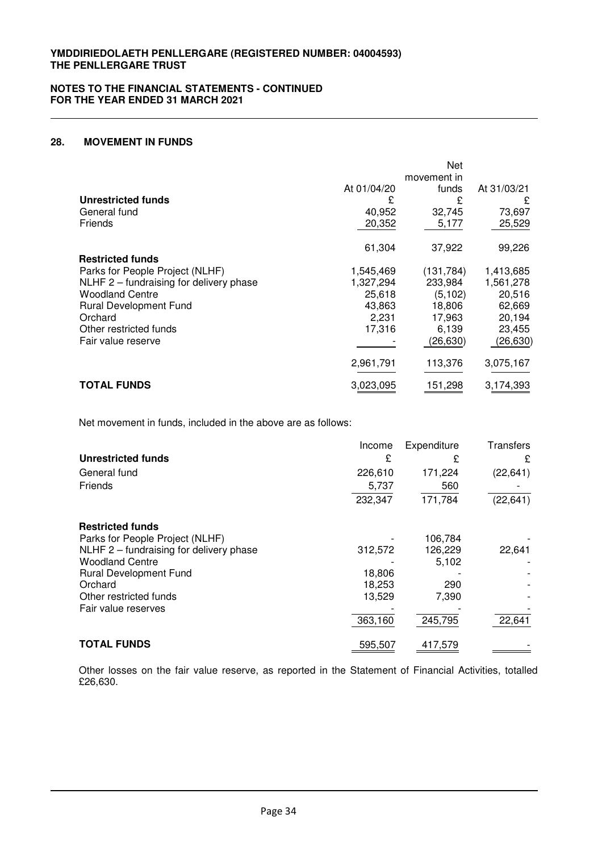# **28. MOVEMENT IN FUNDS**

|                                         |             | Net         |             |
|-----------------------------------------|-------------|-------------|-------------|
|                                         |             | movement in |             |
|                                         | At 01/04/20 | funds       | At 31/03/21 |
| <b>Unrestricted funds</b>               | £           | £           | £           |
| General fund                            | 40,952      | 32,745      | 73,697      |
| <b>Friends</b>                          | 20,352      | 5,177       | 25,529      |
|                                         | 61,304      | 37,922      | 99,226      |
| <b>Restricted funds</b>                 |             |             |             |
| Parks for People Project (NLHF)         | 1,545,469   | (131, 784)  | 1,413,685   |
| NLHF 2 – fundraising for delivery phase | 1,327,294   | 233,984     | 1,561,278   |
| <b>Woodland Centre</b>                  | 25,618      | (5, 102)    | 20,516      |
| <b>Rural Development Fund</b>           | 43,863      | 18,806      | 62,669      |
| Orchard                                 | 2,231       | 17,963      | 20,194      |
| Other restricted funds                  | 17,316      | 6.139       | 23,455      |
| Fair value reserve                      |             | (26, 630)   | (26, 630)   |
|                                         | 2,961,791   | 113,376     | 3,075,167   |
| <b>TOTAL FUNDS</b>                      | 3,023,095   | 151,298     | 3,174,393   |

Net movement in funds, included in the above are as follows:

|                                         | Income  | Expenditure | <b>Transfers</b> |
|-----------------------------------------|---------|-------------|------------------|
| <b>Unrestricted funds</b>               | £       | £           | £                |
| General fund                            | 226,610 | 171,224     | (22, 641)        |
| Friends                                 | 5,737   | 560         |                  |
|                                         | 232,347 | 171,784     | (22, 641)        |
| <b>Restricted funds</b>                 |         |             |                  |
| Parks for People Project (NLHF)         |         | 106.784     |                  |
| NLHF 2 - fundraising for delivery phase | 312,572 | 126,229     | 22,641           |
| <b>Woodland Centre</b>                  |         | 5,102       |                  |
| <b>Rural Development Fund</b>           | 18,806  |             |                  |
| Orchard                                 | 18,253  | 290         |                  |
| Other restricted funds                  | 13,529  | 7,390       |                  |
| Fair value reserves                     |         |             |                  |
|                                         | 363,160 | 245,795     | 22,641           |
| <b>TOTAL FUNDS</b>                      | 595.507 | 417,579     |                  |

Other losses on the fair value reserve, as reported in the Statement of Financial Activities, totalled £26,630.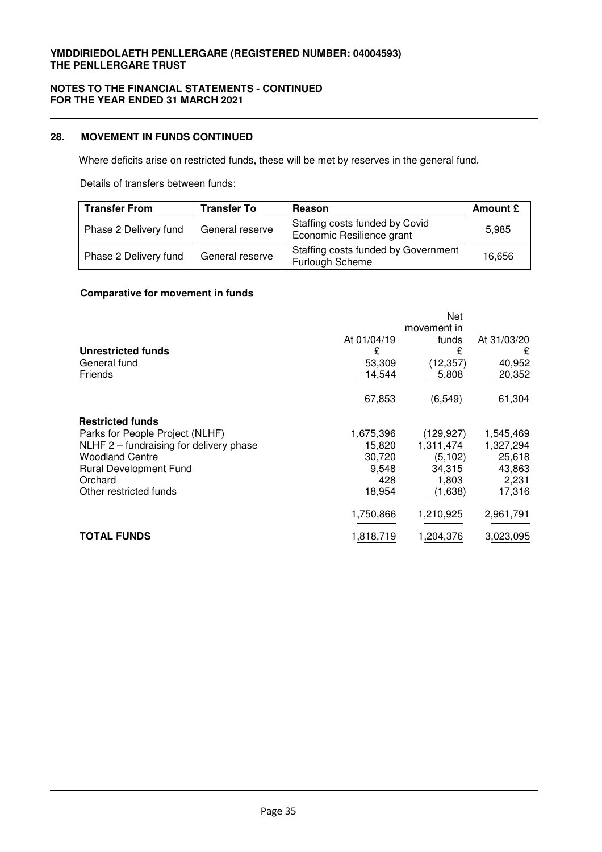# **NOTES TO THE FINANCIAL STATEMENTS - CONTINUED FOR THE YEAR ENDED 31 MARCH 2021**

# **28. MOVEMENT IN FUNDS CONTINUED**

Where deficits arise on restricted funds, these will be met by reserves in the general fund.

Details of transfers between funds:

| <b>Transfer From</b>  | <b>Transfer To</b> | <b>Reason</b>                                               | Amount £ |
|-----------------------|--------------------|-------------------------------------------------------------|----------|
| Phase 2 Delivery fund | General reserve    | Staffing costs funded by Covid<br>Economic Resilience grant | 5,985    |
| Phase 2 Delivery fund | General reserve    | Staffing costs funded by Government<br>Furlough Scheme      | 16,656   |

# **Comparative for movement in funds**

|                                         |             | Net                  |             |
|-----------------------------------------|-------------|----------------------|-------------|
|                                         | At 01/04/19 | movement in<br>funds | At 31/03/20 |
| Unrestricted funds                      | £           | £                    | £           |
| General fund                            | 53,309      | (12, 357)            | 40,952      |
| Friends                                 | 14,544      | 5,808                | 20,352      |
|                                         | 67,853      | (6, 549)             | 61,304      |
| <b>Restricted funds</b>                 |             |                      |             |
| Parks for People Project (NLHF)         | 1,675,396   | (129, 927)           | 1,545,469   |
| NLHF 2 - fundraising for delivery phase | 15,820      | 1,311,474            | 1,327,294   |
| <b>Woodland Centre</b>                  | 30,720      | (5, 102)             | 25,618      |
| <b>Rural Development Fund</b>           | 9,548       | 34,315               | 43,863      |
| Orchard                                 | 428         | 1,803                | 2,231       |
| Other restricted funds                  | 18,954      | (1,638)              | 17,316      |
|                                         | 1,750,866   | 1,210,925            | 2,961,791   |
| <b>TOTAL FUNDS</b>                      | 1,818,719   | 1,204,376            | 3,023,095   |
|                                         |             |                      |             |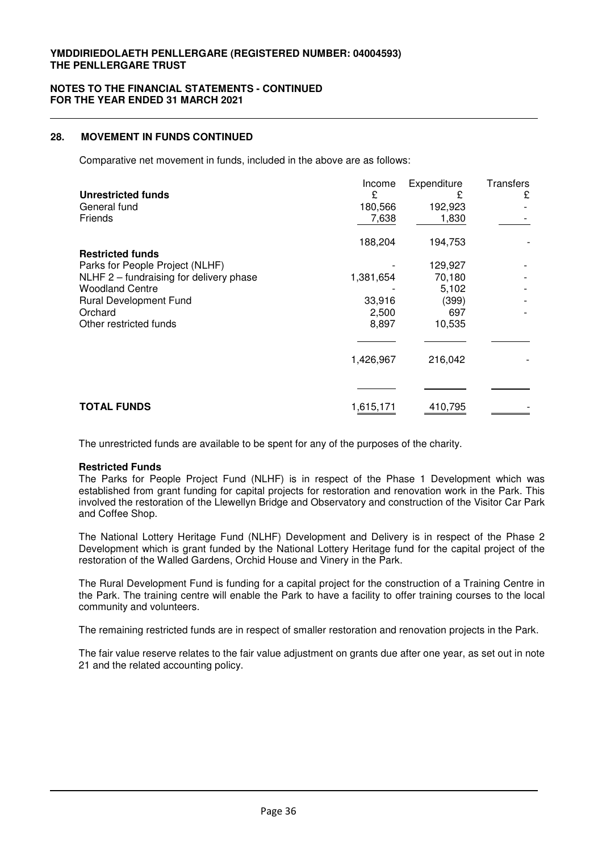#### **NOTES TO THE FINANCIAL STATEMENTS - CONTINUED FOR THE YEAR ENDED 31 MARCH 2021**

# **28. MOVEMENT IN FUNDS CONTINUED**

Comparative net movement in funds, included in the above are as follows:

| <b>Unrestricted funds</b><br>General fund<br>Friends | Income<br>£<br>180,566<br>7,638 | Expenditure<br>£<br>192,923<br>1,830 | <b>Transfers</b><br>£ |
|------------------------------------------------------|---------------------------------|--------------------------------------|-----------------------|
| <b>Restricted funds</b>                              | 188,204                         | 194,753                              |                       |
| Parks for People Project (NLHF)                      |                                 | 129,927                              |                       |
| NLHF 2 - fundraising for delivery phase              | 1,381,654                       | 70,180                               |                       |
| <b>Woodland Centre</b>                               |                                 | 5,102                                |                       |
| <b>Rural Development Fund</b>                        | 33,916                          | (399)                                |                       |
| Orchard                                              | 2,500                           | 697                                  |                       |
| Other restricted funds                               | 8,897                           | 10,535                               |                       |
|                                                      |                                 |                                      |                       |
|                                                      | 1,426,967                       | 216,042                              |                       |
|                                                      |                                 |                                      |                       |
| <b>TOTAL FUNDS</b>                                   | 1,615,171                       | 410,795                              |                       |

The unrestricted funds are available to be spent for any of the purposes of the charity.

#### **Restricted Funds**

The Parks for People Project Fund (NLHF) is in respect of the Phase 1 Development which was established from grant funding for capital projects for restoration and renovation work in the Park. This involved the restoration of the Llewellyn Bridge and Observatory and construction of the Visitor Car Park and Coffee Shop.

The National Lottery Heritage Fund (NLHF) Development and Delivery is in respect of the Phase 2 Development which is grant funded by the National Lottery Heritage fund for the capital project of the restoration of the Walled Gardens, Orchid House and Vinery in the Park.

The Rural Development Fund is funding for a capital project for the construction of a Training Centre in the Park. The training centre will enable the Park to have a facility to offer training courses to the local community and volunteers.

The remaining restricted funds are in respect of smaller restoration and renovation projects in the Park.

The fair value reserve relates to the fair value adjustment on grants due after one year, as set out in note 21 and the related accounting policy.